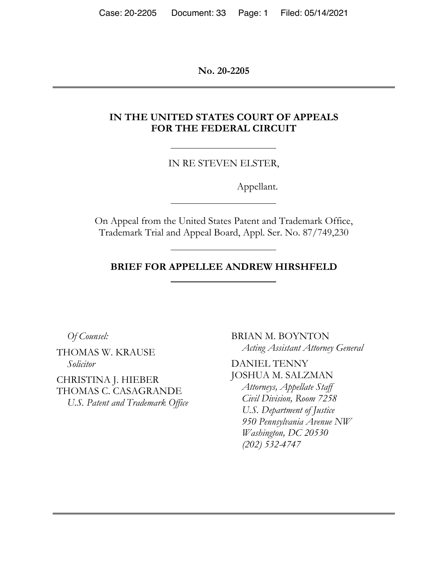**No. 20-2205**

# **IN THE UNITED STATES COURT OF APPEALS FOR THE FEDERAL CIRCUIT**

IN RE STEVEN ELSTER,

Appellant.

On Appeal from the United States Patent and Trademark Office, Trademark Trial and Appeal Board, Appl. Ser. No. 87/749,230

### **BRIEF FOR APPELLEE ANDREW HIRSHFELD**

*Of Counsel:* 

THOMAS W. KRAUSE *Solicitor* 

CHRISTINA J. HIEBER THOMAS C. CASAGRANDE *U.S. Patent and Trademark Office*  BRIAN M. BOYNTON *Acting Assistant Attorney General* 

DANIEL TENNY JOSHUA M. SALZMAN *Attorneys, Appellate Staff Civil Division, Room 7258 U.S. Department of Justice 950 Pennsylvania Avenue NW Washington, DC 20530 (202) 532-4747*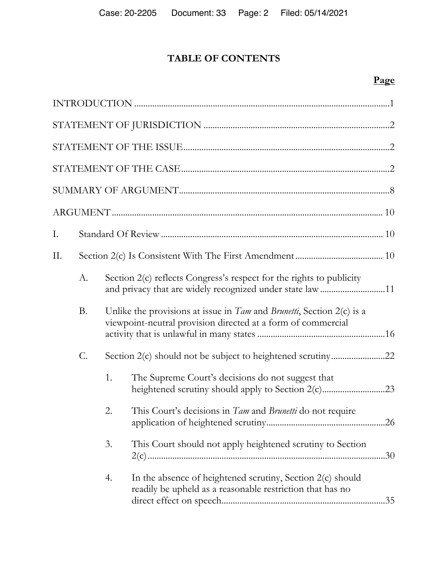# **TABLE OF CONTENTS**

# **Page**

| I. |           |    |                                                                                                                                                   |  |
|----|-----------|----|---------------------------------------------------------------------------------------------------------------------------------------------------|--|
| Π. |           |    |                                                                                                                                                   |  |
|    | A.        |    | Section 2(c) reflects Congress's respect for the rights to publicity<br>and privacy that are widely recognized under state law 11                 |  |
|    | <b>B.</b> |    | Unlike the provisions at issue in $Tam$ and <i>Brunetti</i> , Section $2(c)$ is a<br>viewpoint-neutral provision directed at a form of commercial |  |
|    | C.        |    |                                                                                                                                                   |  |
|    |           | 1. | The Supreme Court's decisions do not suggest that                                                                                                 |  |
|    |           | 2. | This Court's decisions in Tam and Brunetti do not require                                                                                         |  |
|    |           | 3. | This Court should not apply heightened scrutiny to Section                                                                                        |  |
|    |           | 4. | In the absence of heightened scrutiny, Section 2(c) should<br>readily be upheld as a reasonable restriction that has no                           |  |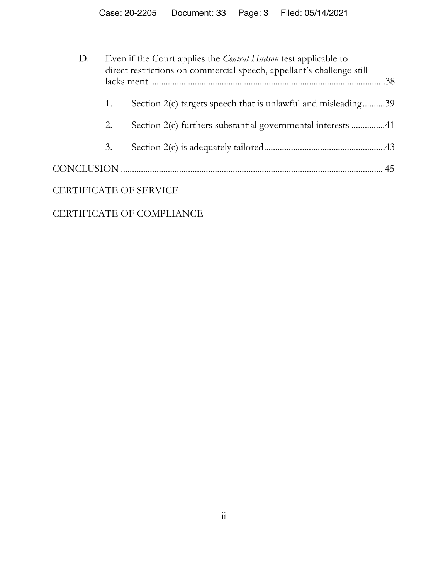| D.                            | Even if the Court applies the <i>Central Hudson</i> test applicable to<br>direct restrictions on commercial speech, appellant's challenge still |                                                               |  |
|-------------------------------|-------------------------------------------------------------------------------------------------------------------------------------------------|---------------------------------------------------------------|--|
|                               |                                                                                                                                                 |                                                               |  |
|                               | 1.                                                                                                                                              | Section 2(c) targets speech that is unlawful and misleading39 |  |
|                               | 2.                                                                                                                                              |                                                               |  |
|                               | 3.                                                                                                                                              |                                                               |  |
|                               |                                                                                                                                                 |                                                               |  |
| <b>CERTIFICATE OF SERVICE</b> |                                                                                                                                                 |                                                               |  |

# CERTIFICATE OF COMPLIANCE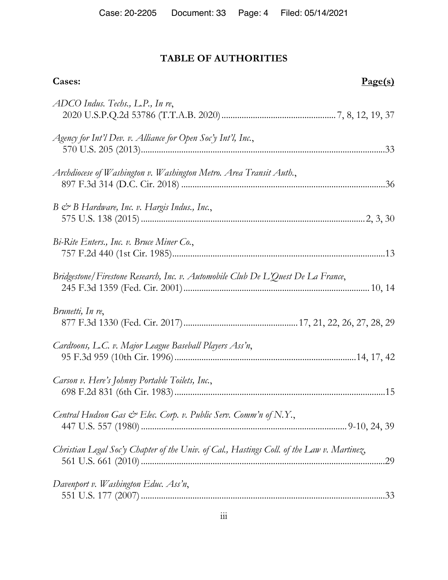# **TABLE OF AUTHORITIES**

| Cases:                                                                                     | Page(s) |
|--------------------------------------------------------------------------------------------|---------|
| ADCO Indus. Techs., L.P., In re,                                                           |         |
| Agency for Int'l Dev. v. Alliance for Open Soc'y Int'l, Inc.,                              |         |
| Archdiocese of Washington v. Washington Metro. Area Transit Auth.,                         |         |
| $B \circ B$ Hardware, Inc. v. Hargis Indus., Inc.,                                         |         |
| Bi-Rite Enters., Inc. v. Bruce Miner Co.,                                                  |         |
| Bridgestone/Firestone Research, Inc. v. Automobile Club De L'Quest De La France,           |         |
| Brunetti, In re,                                                                           |         |
| Cardtoons, L.C. v. Major League Baseball Players Ass'n,                                    |         |
| Carson v. Here's Johnny Portable Toilets, Inc.,                                            |         |
| Central Hudson Gas $\mathcal{C}^*$ Elec. Corp. v. Public Serv. Comm'n of N.Y.,             |         |
| Christian Legal Soc'y Chapter of the Univ. of Cal., Hastings Coll. of the Law v. Martinez, |         |
| Davenport v. Washington Educ. Ass'n,                                                       |         |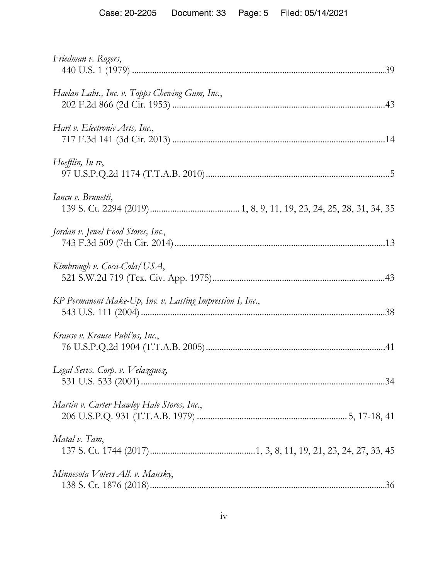| Friedman v. Rogers,                                       |
|-----------------------------------------------------------|
| Haelan Labs., Inc. v. Topps Chewing Gum, Inc.,            |
| Hart v. Electronic Arts, Inc.,                            |
| Hoefflin, In re,                                          |
| Iancu v. Brunetti,                                        |
| Jordan v. Jewel Food Stores, Inc.,                        |
| Kimbrough v. Coca-Cola/USA,                               |
| KP Permanent Make-Up, Inc. v. Lasting Impression I, Inc., |
| Krause v. Krause Publ'ns, Inc.,                           |
| Legal Servs. Corp. v. Velazquez,<br>34                    |
| Martin v. Carter Hawley Hale Stores, Inc.,                |
| Matal v. Tam,                                             |
| Minnesota Voters All. v. Mansky,                          |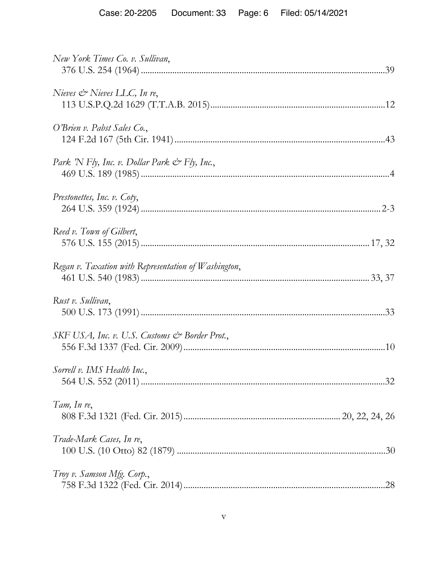| New York Times Co. v. Sullivan,                      |    |
|------------------------------------------------------|----|
| Nieves $\mathcal O$ Nieves LLC, In re,               |    |
| O'Brien v. Pabst Sales Co.,                          |    |
| Park 'N Fly, Inc. v. Dollar Park & Fly, Inc.,        |    |
| Prestonettes, Inc. v. Coty,                          |    |
| Reed v. Town of Gilbert,                             |    |
| Regan v. Taxation with Representation of Washington, |    |
| Rust v. Sullivan,                                    |    |
| SKF USA, Inc. v. U.S. Customs & Border Prot.,        |    |
| Sorrell v. IMS Health Inc.,                          | 32 |
| Tam, In re,                                          |    |
| Trade-Mark Cases, In re,                             |    |
| Troy v. Samson Mfg. Corp.,                           |    |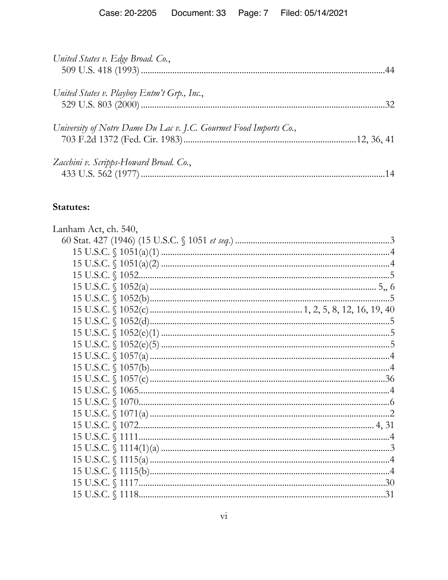| United States v. Edge Broad. Co.,                                 |  |
|-------------------------------------------------------------------|--|
| United States v. Playboy Entm't Grp., Inc.,                       |  |
| University of Notre Dame Du Lac v. J.C. Gourmet Food Imports Co., |  |
| Zacchini v. Scripps-Howard Broad. Co.,                            |  |

# Statutes:

| Lanham Act, ch. 540,                                                                                                                                                                                                                                                                                                                                  |
|-------------------------------------------------------------------------------------------------------------------------------------------------------------------------------------------------------------------------------------------------------------------------------------------------------------------------------------------------------|
|                                                                                                                                                                                                                                                                                                                                                       |
|                                                                                                                                                                                                                                                                                                                                                       |
|                                                                                                                                                                                                                                                                                                                                                       |
|                                                                                                                                                                                                                                                                                                                                                       |
| 15 U.S.C. $\binom{1052(a) \dots (1052(a) \dots (1011b) \dots (1011b) \dots (1011b) \dots (1011b) \dots (1011b) \dots (1011b) \dots (1011b) \dots (1011b) \dots (1011b) \dots (1011b) \dots (1011b) \dots (1011b) \dots (1011b) \dots (1011b) \dots (1011b) \dots (1011b) \dots (1011b) \dots (1011b) \dots (1011b) \dots (1011b) \dots (1011b) \dots$ |
|                                                                                                                                                                                                                                                                                                                                                       |
|                                                                                                                                                                                                                                                                                                                                                       |
|                                                                                                                                                                                                                                                                                                                                                       |
|                                                                                                                                                                                                                                                                                                                                                       |
|                                                                                                                                                                                                                                                                                                                                                       |
|                                                                                                                                                                                                                                                                                                                                                       |
|                                                                                                                                                                                                                                                                                                                                                       |
|                                                                                                                                                                                                                                                                                                                                                       |
|                                                                                                                                                                                                                                                                                                                                                       |
|                                                                                                                                                                                                                                                                                                                                                       |
|                                                                                                                                                                                                                                                                                                                                                       |
|                                                                                                                                                                                                                                                                                                                                                       |
|                                                                                                                                                                                                                                                                                                                                                       |
|                                                                                                                                                                                                                                                                                                                                                       |
|                                                                                                                                                                                                                                                                                                                                                       |
|                                                                                                                                                                                                                                                                                                                                                       |
|                                                                                                                                                                                                                                                                                                                                                       |
|                                                                                                                                                                                                                                                                                                                                                       |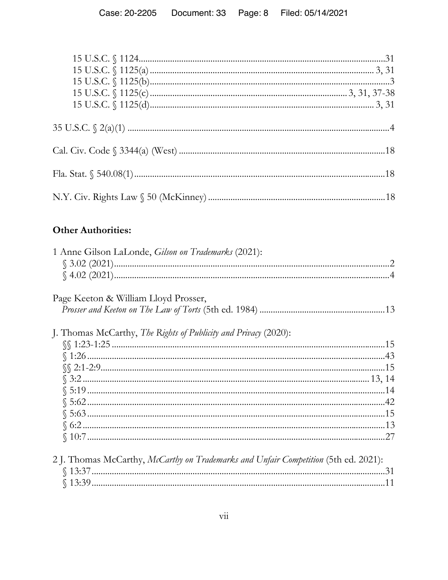# **Other Authorities:**

| 1 Anne Gilson LaLonde, <i>Gilson on Trademarks</i> (2021):                          |  |
|-------------------------------------------------------------------------------------|--|
|                                                                                     |  |
|                                                                                     |  |
| Page Keeton & William Lloyd Prosser,                                                |  |
|                                                                                     |  |
| J. Thomas McCarthy, The Rights of Publicity and Privacy (2020):                     |  |
|                                                                                     |  |
|                                                                                     |  |
|                                                                                     |  |
|                                                                                     |  |
|                                                                                     |  |
|                                                                                     |  |
|                                                                                     |  |
|                                                                                     |  |
|                                                                                     |  |
|                                                                                     |  |
| 2 J. Thomas McCarthy, McCarthy on Trademarks and Unfair Competition (5th ed. 2021): |  |
|                                                                                     |  |
|                                                                                     |  |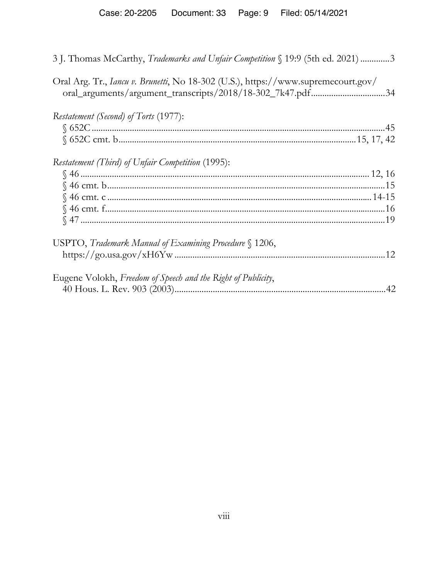| 3. Thomas McCarthy, <i>Trademarks and Unfair Competition</i> § 19:9 (5th ed. 2021) 3                                                                    |  |
|---------------------------------------------------------------------------------------------------------------------------------------------------------|--|
| Oral Arg. Tr., <i>Iancu v. Brunetti</i> , No 18-302 (U.S.), https://www.supremecourt.gov/<br>oral_arguments/argument_transcripts/2018/18-302_7k47.pdf34 |  |
| Restatement (Second) of Torts (1977):                                                                                                                   |  |
|                                                                                                                                                         |  |
|                                                                                                                                                         |  |
| Restatement (Third) of Unfair Competition (1995):                                                                                                       |  |
|                                                                                                                                                         |  |
|                                                                                                                                                         |  |
|                                                                                                                                                         |  |
|                                                                                                                                                         |  |
|                                                                                                                                                         |  |
| USPTO, Trademark Manual of Examining Procedure § 1206,                                                                                                  |  |
|                                                                                                                                                         |  |
| Eugene Volokh, Freedom of Speech and the Right of Publicity,                                                                                            |  |
|                                                                                                                                                         |  |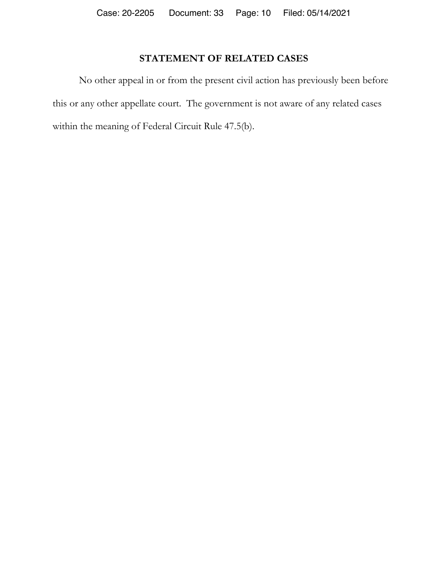# **STATEMENT OF RELATED CASES**

No other appeal in or from the present civil action has previously been before this or any other appellate court. The government is not aware of any related cases within the meaning of Federal Circuit Rule 47.5(b).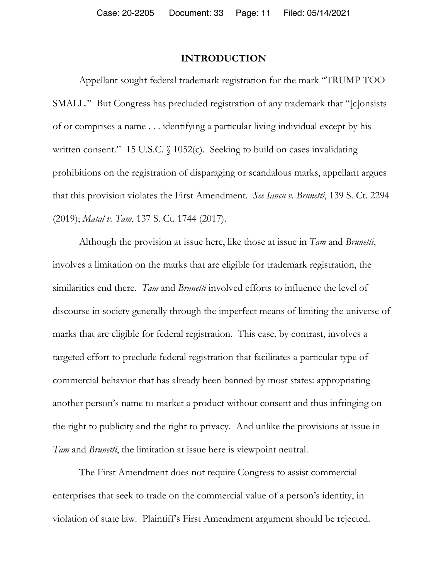### **INTRODUCTION**

Appellant sought federal trademark registration for the mark "TRUMP TOO SMALL." But Congress has precluded registration of any trademark that "[c]onsists of or comprises a name . . . identifying a particular living individual except by his written consent." 15 U.S.C.  $\{(1052)c\}$ . Seeking to build on cases invalidating prohibitions on the registration of disparaging or scandalous marks, appellant argues that this provision violates the First Amendment. *See Iancu v. Brunetti*, 139 S. Ct. 2294 (2019); *Matal v. Tam*, 137 S. Ct. 1744 (2017).

Although the provision at issue here, like those at issue in *Tam* and *Brunetti*, involves a limitation on the marks that are eligible for trademark registration, the similarities end there. *Tam* and *Brunetti* involved efforts to influence the level of discourse in society generally through the imperfect means of limiting the universe of marks that are eligible for federal registration. This case, by contrast, involves a targeted effort to preclude federal registration that facilitates a particular type of commercial behavior that has already been banned by most states: appropriating another person's name to market a product without consent and thus infringing on the right to publicity and the right to privacy. And unlike the provisions at issue in *Tam* and *Brunetti*, the limitation at issue here is viewpoint neutral.

The First Amendment does not require Congress to assist commercial enterprises that seek to trade on the commercial value of a person's identity, in violation of state law. Plaintiff's First Amendment argument should be rejected.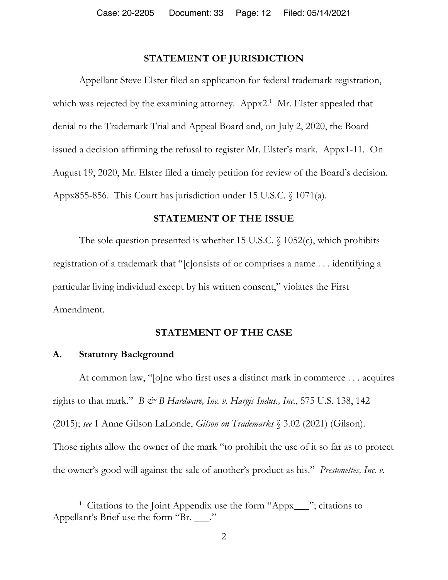## **STATEMENT OF JURISDICTION**

Appellant Steve Elster filed an application for federal trademark registration, which was rejected by the examining attorney. Appx2.<sup>1</sup> Mr. Elster appealed that denial to the Trademark Trial and Appeal Board and, on July 2, 2020, the Board issued a decision affirming the refusal to register Mr. Elster's mark. Appx1-11. On August 19, 2020, Mr. Elster filed a timely petition for review of the Board's decision. Appx855-856. This Court has jurisdiction under 15 U.S.C. § 1071(a).

### **STATEMENT OF THE ISSUE**

The sole question presented is whether 15 U.S.C.  $\S$  1052(c), which prohibits registration of a trademark that "[c]onsists of or comprises a name . . . identifying a particular living individual except by his written consent," violates the First Amendment.

### **STATEMENT OF THE CASE**

### **A. Statutory Background**

 $\overline{a}$ 

At common law, "[o]ne who first uses a distinct mark in commerce . . . acquires rights to that mark."  $B \circ B$  *Hardware, Inc. v. Hargis Indus., Inc.*, 575 U.S. 138, 142 (2015); *see* 1 Anne Gilson LaLonde, *Gilson on Trademarks* § 3.02 (2021) (Gilson). Those rights allow the owner of the mark "to prohibit the use of it so far as to protect the owner's good will against the sale of another's product as his." *Prestonettes, Inc. v.* 

<sup>&</sup>lt;sup>1</sup> Citations to the Joint Appendix use the form "Appx\_\_\_"; citations to Appellant's Brief use the form "Br. \_\_\_."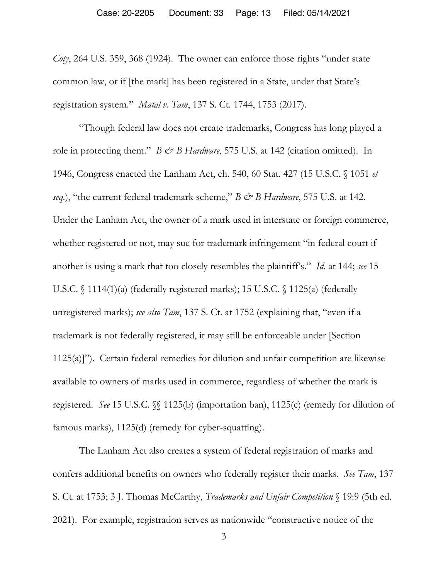*Coty*, 264 U.S. 359, 368 (1924). The owner can enforce those rights "under state common law, or if [the mark] has been registered in a State, under that State's registration system." *Matal v. Tam*, 137 S. Ct. 1744, 1753 (2017).

"Though federal law does not create trademarks, Congress has long played a role in protecting them." *B & B Hardware*, 575 U.S. at 142 (citation omitted). In 1946, Congress enacted the Lanham Act, ch. 540, 60 Stat. 427 (15 U.S.C. § 1051 *et seq.*), "the current federal trademark scheme," *B & B Hardware*, 575 U.S. at 142. Under the Lanham Act, the owner of a mark used in interstate or foreign commerce, whether registered or not, may sue for trademark infringement "in federal court if another is using a mark that too closely resembles the plaintiff's." *Id.* at 144; *see* 15 U.S.C. § 1114(1)(a) (federally registered marks); 15 U.S.C. § 1125(a) (federally unregistered marks); *see also Tam*, 137 S. Ct. at 1752 (explaining that, "even if a trademark is not federally registered, it may still be enforceable under [Section 1125(a)]"). Certain federal remedies for dilution and unfair competition are likewise available to owners of marks used in commerce, regardless of whether the mark is registered. *See* 15 U.S.C. §§ 1125(b) (importation ban), 1125(c) (remedy for dilution of famous marks), 1125(d) (remedy for cyber-squatting).

The Lanham Act also creates a system of federal registration of marks and confers additional benefits on owners who federally register their marks. *See Tam*, 137 S. Ct. at 1753; 3 J. Thomas McCarthy, *Trademarks and Unfair Competition* § 19:9 (5th ed. 2021). For example, registration serves as nationwide "constructive notice of the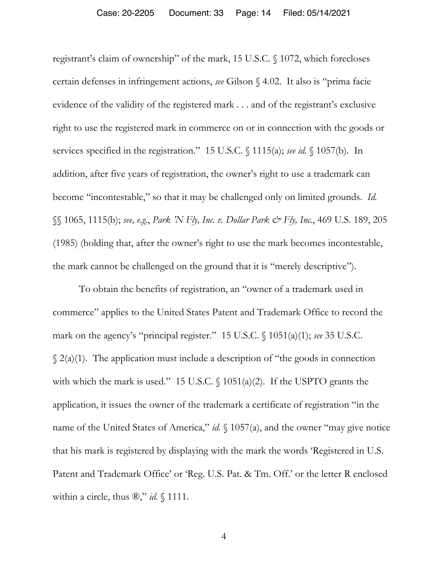registrant's claim of ownership" of the mark, 15 U.S.C. § 1072, which forecloses certain defenses in infringement actions, *see* Gilson § 4.02. It also is "prima facie evidence of the validity of the registered mark . . . and of the registrant's exclusive right to use the registered mark in commerce on or in connection with the goods or services specified in the registration." 15 U.S.C. § 1115(a); *see id.* § 1057(b). In addition, after five years of registration, the owner's right to use a trademark can become "incontestable," so that it may be challenged only on limited grounds. *Id.* §§ 1065, 1115(b); *see, e.g.*, *Park 'N Fly, Inc. v. Dollar Park & Fly, Inc.*, 469 U.S. 189, 205 (1985) (holding that, after the owner's right to use the mark becomes incontestable, the mark cannot be challenged on the ground that it is "merely descriptive").

To obtain the benefits of registration, an "owner of a trademark used in commerce" applies to the United States Patent and Trademark Office to record the mark on the agency's "principal register." 15 U.S.C. § 1051(a)(1); *see* 35 U.S.C.  $\S$  2(a)(1). The application must include a description of "the goods in connection with which the mark is used." 15 U.S.C.  $\{(1051(a)(2))$ . If the USPTO grants the application, it issues the owner of the trademark a certificate of registration "in the name of the United States of America," *id.* § 1057(a), and the owner "may give notice that his mark is registered by displaying with the mark the words 'Registered in U.S. Patent and Trademark Office' or 'Reg. U.S. Pat. & Tm. Off.' or the letter R enclosed within a circle, thus  $\mathcal{R}, "id. \$  1111.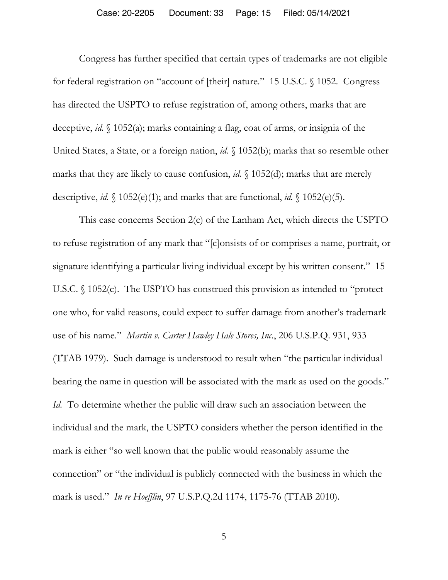Congress has further specified that certain types of trademarks are not eligible for federal registration on "account of [their] nature." 15 U.S.C. § 1052. Congress has directed the USPTO to refuse registration of, among others, marks that are deceptive, *id.* § 1052(a); marks containing a flag, coat of arms, or insignia of the United States, a State, or a foreign nation, *id.* § 1052(b); marks that so resemble other marks that they are likely to cause confusion, *id.* § 1052(d); marks that are merely descriptive, *id.* § 1052(e)(1); and marks that are functional, *id.* § 1052(e)(5).

This case concerns Section 2(c) of the Lanham Act, which directs the USPTO to refuse registration of any mark that "[c]onsists of or comprises a name, portrait, or signature identifying a particular living individual except by his written consent." 15 U.S.C. § 1052(c). The USPTO has construed this provision as intended to "protect one who, for valid reasons, could expect to suffer damage from another's trademark use of his name." *Martin v. Carter Hawley Hale Stores, Inc.*, 206 U.S.P.Q. 931, 933 (TTAB 1979). Such damage is understood to result when "the particular individual bearing the name in question will be associated with the mark as used on the goods." *Id.* To determine whether the public will draw such an association between the individual and the mark, the USPTO considers whether the person identified in the mark is either "so well known that the public would reasonably assume the connection" or "the individual is publicly connected with the business in which the mark is used." *In re Hoefflin*, 97 U.S.P.Q.2d 1174, 1175-76 (TTAB 2010).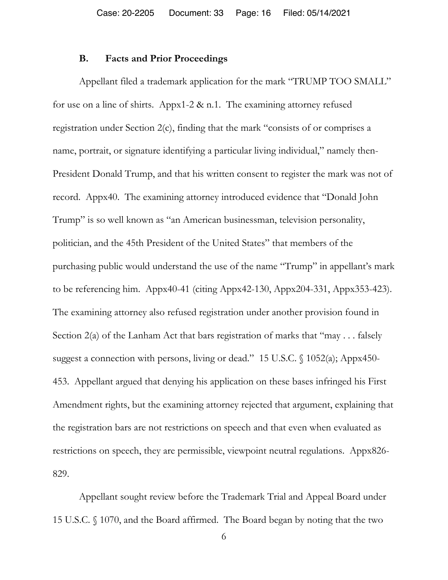#### **B. Facts and Prior Proceedings**

Appellant filed a trademark application for the mark "TRUMP TOO SMALL" for use on a line of shirts. Appx1-2 & n.1. The examining attorney refused registration under Section 2(c), finding that the mark "consists of or comprises a name, portrait, or signature identifying a particular living individual," namely then-President Donald Trump, and that his written consent to register the mark was not of record. Appx40. The examining attorney introduced evidence that "Donald John Trump" is so well known as "an American businessman, television personality, politician, and the 45th President of the United States" that members of the purchasing public would understand the use of the name "Trump" in appellant's mark to be referencing him. Appx40-41 (citing Appx42-130, Appx204-331, Appx353-423). The examining attorney also refused registration under another provision found in Section 2(a) of the Lanham Act that bars registration of marks that "may . . . falsely suggest a connection with persons, living or dead." 15 U.S.C. § 1052(a); Appx450-453. Appellant argued that denying his application on these bases infringed his First Amendment rights, but the examining attorney rejected that argument, explaining that the registration bars are not restrictions on speech and that even when evaluated as restrictions on speech, they are permissible, viewpoint neutral regulations. Appx826- 829.

Appellant sought review before the Trademark Trial and Appeal Board under 15 U.S.C. § 1070, and the Board affirmed. The Board began by noting that the two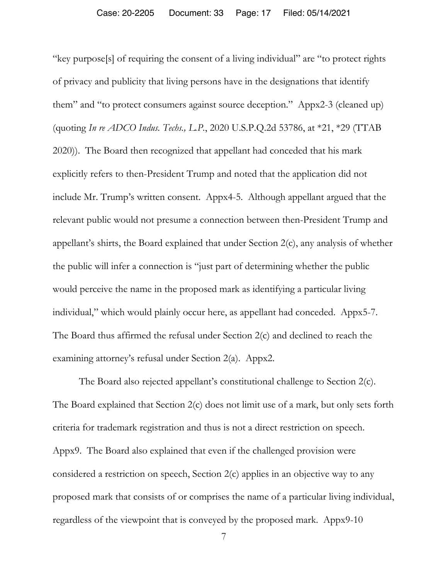"key purpose[s] of requiring the consent of a living individual" are "to protect rights of privacy and publicity that living persons have in the designations that identify them" and "to protect consumers against source deception." Appx2-3 (cleaned up) (quoting *In re ADCO Indus. Techs., L.P.*, 2020 U.S.P.Q.2d 53786, at \*21, \*29 (TTAB 2020)). The Board then recognized that appellant had conceded that his mark explicitly refers to then-President Trump and noted that the application did not include Mr. Trump's written consent. Appx4-5. Although appellant argued that the relevant public would not presume a connection between then-President Trump and appellant's shirts, the Board explained that under Section 2(c), any analysis of whether the public will infer a connection is "just part of determining whether the public would perceive the name in the proposed mark as identifying a particular living individual," which would plainly occur here, as appellant had conceded. Appx5-7. The Board thus affirmed the refusal under Section 2(c) and declined to reach the examining attorney's refusal under Section 2(a). Appx2.

The Board also rejected appellant's constitutional challenge to Section 2(c). The Board explained that Section 2(c) does not limit use of a mark, but only sets forth criteria for trademark registration and thus is not a direct restriction on speech. Appx9. The Board also explained that even if the challenged provision were considered a restriction on speech, Section 2(c) applies in an objective way to any proposed mark that consists of or comprises the name of a particular living individual, regardless of the viewpoint that is conveyed by the proposed mark. Appx9-10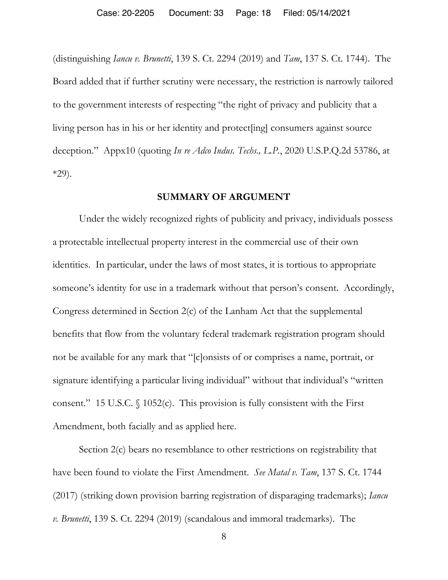(distinguishing *Iancu v. Brunetti*, 139 S. Ct. 2294 (2019) and *Tam*, 137 S. Ct. 1744). The Board added that if further scrutiny were necessary, the restriction is narrowly tailored to the government interests of respecting "the right of privacy and publicity that a living person has in his or her identity and protect[ing] consumers against source deception." Appx10 (quoting *In re Adco Indus. Techs., L.P.*, 2020 U.S.P.Q.2d 53786, at \*29).

### **SUMMARY OF ARGUMENT**

 Under the widely recognized rights of publicity and privacy, individuals possess a protectable intellectual property interest in the commercial use of their own identities. In particular, under the laws of most states, it is tortious to appropriate someone's identity for use in a trademark without that person's consent. Accordingly, Congress determined in Section 2(c) of the Lanham Act that the supplemental benefits that flow from the voluntary federal trademark registration program should not be available for any mark that "[c]onsists of or comprises a name, portrait, or signature identifying a particular living individual" without that individual's "written consent." 15 U.S.C. § 1052(c). This provision is fully consistent with the First Amendment, both facially and as applied here.

 Section 2(c) bears no resemblance to other restrictions on registrability that have been found to violate the First Amendment. *See Matal v. Tam*, 137 S. Ct. 1744 (2017) (striking down provision barring registration of disparaging trademarks); *Iancu v. Brunetti*, 139 S. Ct. 2294 (2019) (scandalous and immoral trademarks). The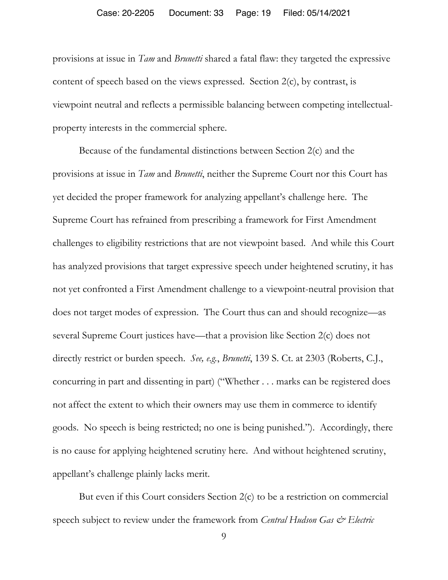#### Case: 20-2205 Document: 33 Page: 19 Filed: 05/14/2021

provisions at issue in *Tam* and *Brunetti* shared a fatal flaw: they targeted the expressive content of speech based on the views expressed. Section 2(c), by contrast, is viewpoint neutral and reflects a permissible balancing between competing intellectualproperty interests in the commercial sphere.

 Because of the fundamental distinctions between Section 2(c) and the provisions at issue in *Tam* and *Brunetti*, neither the Supreme Court nor this Court has yet decided the proper framework for analyzing appellant's challenge here. The Supreme Court has refrained from prescribing a framework for First Amendment challenges to eligibility restrictions that are not viewpoint based. And while this Court has analyzed provisions that target expressive speech under heightened scrutiny, it has not yet confronted a First Amendment challenge to a viewpoint-neutral provision that does not target modes of expression. The Court thus can and should recognize—as several Supreme Court justices have—that a provision like Section 2(c) does not directly restrict or burden speech. *See, e.g.*, *Brunetti*, 139 S. Ct. at 2303 (Roberts, C.J., concurring in part and dissenting in part) ("Whether . . . marks can be registered does not affect the extent to which their owners may use them in commerce to identify goods. No speech is being restricted; no one is being punished."). Accordingly, there is no cause for applying heightened scrutiny here. And without heightened scrutiny, appellant's challenge plainly lacks merit.

 But even if this Court considers Section 2(c) to be a restriction on commercial speech subject to review under the framework from *Central Hudson Gas & Electric*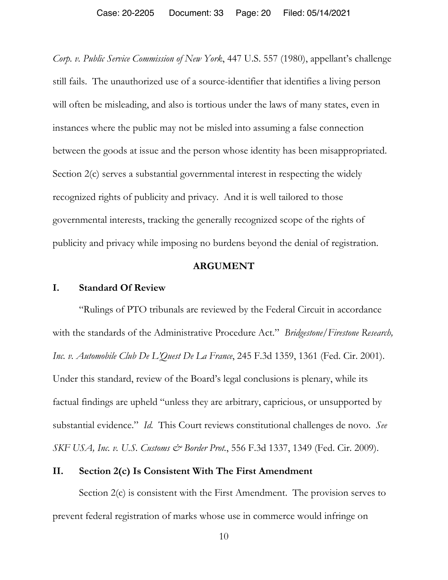*Corp. v. Public Service Commission of New York*, 447 U.S. 557 (1980), appellant's challenge still fails. The unauthorized use of a source-identifier that identifies a living person will often be misleading, and also is tortious under the laws of many states, even in instances where the public may not be misled into assuming a false connection between the goods at issue and the person whose identity has been misappropriated. Section 2(c) serves a substantial governmental interest in respecting the widely recognized rights of publicity and privacy. And it is well tailored to those governmental interests, tracking the generally recognized scope of the rights of publicity and privacy while imposing no burdens beyond the denial of registration.

### **ARGUMENT**

### **I. Standard Of Review**

"Rulings of PTO tribunals are reviewed by the Federal Circuit in accordance with the standards of the Administrative Procedure Act." *Bridgestone/Firestone Research, Inc. v. Automobile Club De L'Quest De La France*, 245 F.3d 1359, 1361 (Fed. Cir. 2001). Under this standard, review of the Board's legal conclusions is plenary, while its factual findings are upheld "unless they are arbitrary, capricious, or unsupported by substantial evidence." *Id.* This Court reviews constitutional challenges de novo. *See SKF USA, Inc. v. U.S. Customs & Border Prot.*, 556 F.3d 1337, 1349 (Fed. Cir. 2009).

### **II. Section 2(c) Is Consistent With The First Amendment**

Section 2(c) is consistent with the First Amendment. The provision serves to prevent federal registration of marks whose use in commerce would infringe on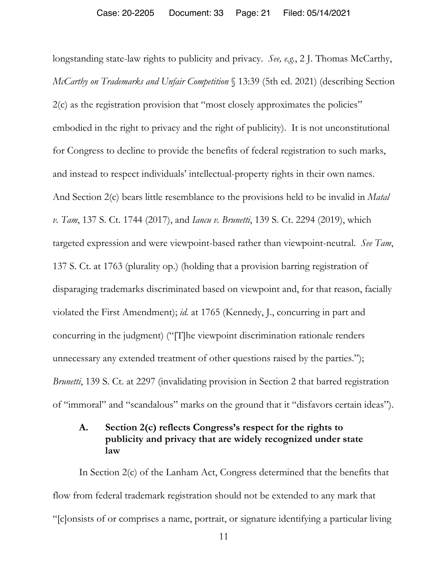longstanding state-law rights to publicity and privacy. *See, e.g.*, 2 J. Thomas McCarthy, *McCarthy on Trademarks and Unfair Competition* § 13:39 (5th ed. 2021) (describing Section 2(c) as the registration provision that "most closely approximates the policies" embodied in the right to privacy and the right of publicity). It is not unconstitutional for Congress to decline to provide the benefits of federal registration to such marks, and instead to respect individuals' intellectual-property rights in their own names. And Section 2(c) bears little resemblance to the provisions held to be invalid in *Matal v. Tam*, 137 S. Ct. 1744 (2017), and *Iancu v. Brunetti*, 139 S. Ct. 2294 (2019), which targeted expression and were viewpoint-based rather than viewpoint-neutral. *See Tam*, 137 S. Ct. at 1763 (plurality op.) (holding that a provision barring registration of disparaging trademarks discriminated based on viewpoint and, for that reason, facially violated the First Amendment); *id.* at 1765 (Kennedy, J., concurring in part and concurring in the judgment) ("[T]he viewpoint discrimination rationale renders unnecessary any extended treatment of other questions raised by the parties."); *Brunetti*, 139 S. Ct. at 2297 (invalidating provision in Section 2 that barred registration of "immoral" and "scandalous" marks on the ground that it "disfavors certain ideas").

## **A. Section 2(c) reflects Congress's respect for the rights to publicity and privacy that are widely recognized under state law**

In Section 2(c) of the Lanham Act, Congress determined that the benefits that flow from federal trademark registration should not be extended to any mark that "[c]onsists of or comprises a name, portrait, or signature identifying a particular living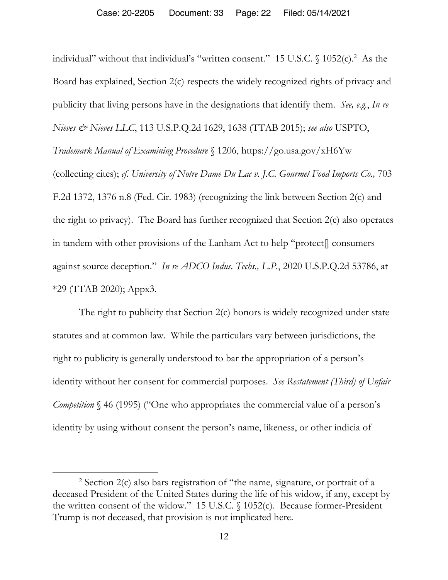individual" without that individual's "written consent." 15 U.S.C.  $\int$  1052(c).<sup>2</sup> As the Board has explained, Section 2(c) respects the widely recognized rights of privacy and publicity that living persons have in the designations that identify them. *See, e.g.*, *In re Nieves & Nieves LLC*, 113 U.S.P.Q.2d 1629, 1638 (TTAB 2015); *see also* USPTO, *Trademark Manual of Examining Procedure* § 1206, https://go.usa.gov/xH6Yw (collecting cites); *cf. University of Notre Dame Du Lac v. J.C. Gourmet Food Imports Co.,* 703 F.2d 1372, 1376 n.8 (Fed. Cir. 1983) (recognizing the link between Section 2(c) and the right to privacy). The Board has further recognized that Section 2(c) also operates in tandem with other provisions of the Lanham Act to help "protect[] consumers against source deception." *In re ADCO Indus. Techs., L.P.*, 2020 U.S.P.Q.2d 53786, at \*29 (TTAB 2020); Appx3.

The right to publicity that Section 2(c) honors is widely recognized under state statutes and at common law. While the particulars vary between jurisdictions, the right to publicity is generally understood to bar the appropriation of a person's identity without her consent for commercial purposes. *See Restatement (Third) of Unfair Competition* § 46 (1995) ("One who appropriates the commercial value of a person's identity by using without consent the person's name, likeness, or other indicia of

 $\overline{a}$ 

<sup>2</sup> Section 2(c) also bars registration of "the name, signature, or portrait of a deceased President of the United States during the life of his widow, if any, except by the written consent of the widow." 15 U.S.C. § 1052(c). Because former-President Trump is not deceased, that provision is not implicated here.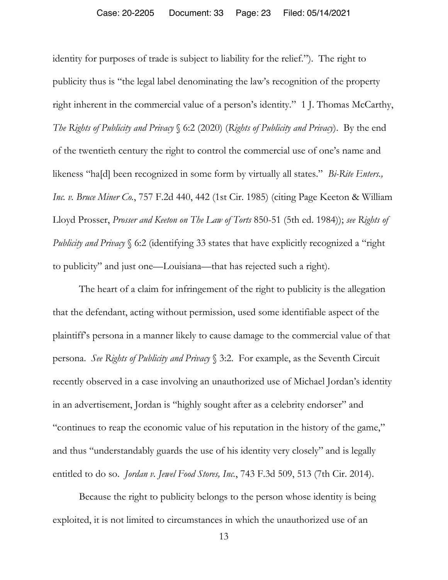identity for purposes of trade is subject to liability for the relief."). The right to publicity thus is "the legal label denominating the law's recognition of the property right inherent in the commercial value of a person's identity." 1 J. Thomas McCarthy, *The Rights of Publicity and Privacy* § 6:2 (2020) (*Rights of Publicity and Privacy*). By the end of the twentieth century the right to control the commercial use of one's name and likeness "ha[d] been recognized in some form by virtually all states." *Bi-Rite Enters., Inc. v. Bruce Miner Co.*, 757 F.2d 440, 442 (1st Cir. 1985) (citing Page Keeton & William Lloyd Prosser, *Prosser and Keeton on The Law of Torts* 850-51 (5th ed. 1984)); *see Rights of Publicity and Privacy* § 6:2 (identifying 33 states that have explicitly recognized a "right" to publicity" and just one—Louisiana—that has rejected such a right).

The heart of a claim for infringement of the right to publicity is the allegation that the defendant, acting without permission, used some identifiable aspect of the plaintiff's persona in a manner likely to cause damage to the commercial value of that persona. *See Rights of Publicity and Privacy* § 3:2. For example, as the Seventh Circuit recently observed in a case involving an unauthorized use of Michael Jordan's identity in an advertisement, Jordan is "highly sought after as a celebrity endorser" and "continues to reap the economic value of his reputation in the history of the game," and thus "understandably guards the use of his identity very closely" and is legally entitled to do so. *Jordan v. Jewel Food Stores, Inc.*, 743 F.3d 509, 513 (7th Cir. 2014).

Because the right to publicity belongs to the person whose identity is being exploited, it is not limited to circumstances in which the unauthorized use of an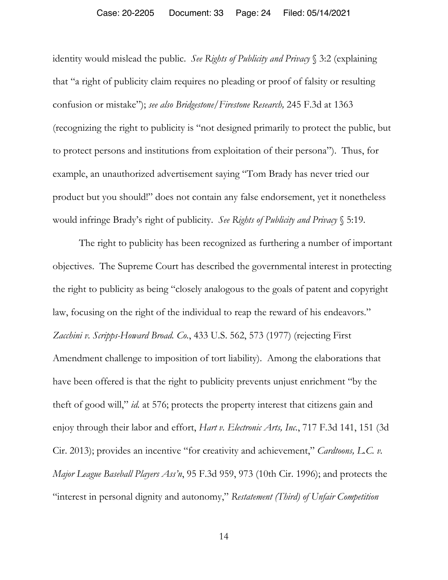#### Case: 20-2205 Document: 33 Page: 24 Filed: 05/14/2021

identity would mislead the public. *See Rights of Publicity and Privacy* § 3:2 (explaining that "a right of publicity claim requires no pleading or proof of falsity or resulting confusion or mistake"); *see also Bridgestone/Firestone Research,* 245 F.3d at 1363 (recognizing the right to publicity is "not designed primarily to protect the public, but to protect persons and institutions from exploitation of their persona"). Thus, for example, an unauthorized advertisement saying "Tom Brady has never tried our product but you should!" does not contain any false endorsement, yet it nonetheless would infringe Brady's right of publicity. *See Rights of Publicity and Privacy* § 5:19.

The right to publicity has been recognized as furthering a number of important objectives. The Supreme Court has described the governmental interest in protecting the right to publicity as being "closely analogous to the goals of patent and copyright law, focusing on the right of the individual to reap the reward of his endeavors." *Zacchini v. Scripps-Howard Broad. Co.*, 433 U.S. 562, 573 (1977) (rejecting First Amendment challenge to imposition of tort liability). Among the elaborations that have been offered is that the right to publicity prevents unjust enrichment "by the theft of good will," *id.* at 576; protects the property interest that citizens gain and enjoy through their labor and effort, *Hart v. Electronic Arts, Inc.*, 717 F.3d 141, 151 (3d Cir. 2013); provides an incentive "for creativity and achievement," *Cardtoons, L.C. v. Major League Baseball Players Ass'n*, 95 F.3d 959, 973 (10th Cir. 1996); and protects the "interest in personal dignity and autonomy," *Restatement (Third) of Unfair Competition*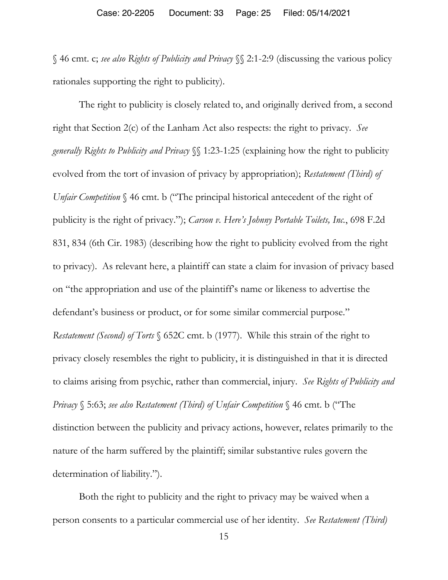§ 46 cmt. c; *see also Rights of Publicity and Privacy* §§ 2:1-2:9 (discussing the various policy rationales supporting the right to publicity).

The right to publicity is closely related to, and originally derived from, a second right that Section 2(c) of the Lanham Act also respects: the right to privacy. *See generally Rights to Publicity and Privacy* §§ 1:23-1:25 (explaining how the right to publicity evolved from the tort of invasion of privacy by appropriation); *Restatement (Third) of Unfair Competition*  $\S$  46 cmt. b ("The principal historical antecedent of the right of publicity is the right of privacy."); *Carson v. Here's Johnny Portable Toilets, Inc.*, 698 F.2d 831, 834 (6th Cir. 1983) (describing how the right to publicity evolved from the right to privacy). As relevant here, a plaintiff can state a claim for invasion of privacy based on "the appropriation and use of the plaintiff's name or likeness to advertise the defendant's business or product, or for some similar commercial purpose." *Restatement (Second) of Torts* § 652C cmt. b (1977). While this strain of the right to privacy closely resembles the right to publicity, it is distinguished in that it is directed to claims arising from psychic, rather than commercial, injury. *See Rights of Publicity and Privacy* § 5:63; *see also Restatement (Third) of Unfair Competition* § 46 cmt. b ("The distinction between the publicity and privacy actions, however, relates primarily to the nature of the harm suffered by the plaintiff; similar substantive rules govern the determination of liability.").

Both the right to publicity and the right to privacy may be waived when a person consents to a particular commercial use of her identity. *See Restatement (Third)*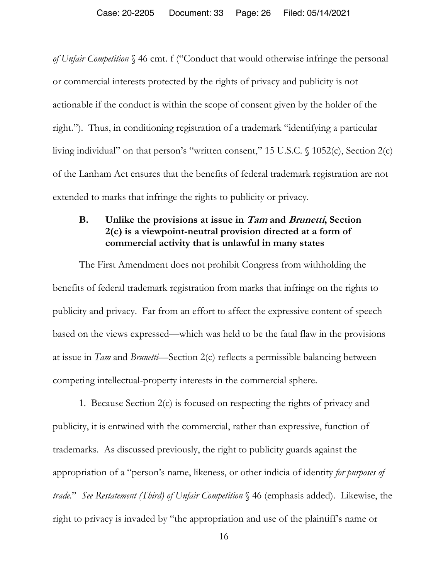*of Unfair Competition* § 46 cmt. f ("Conduct that would otherwise infringe the personal or commercial interests protected by the rights of privacy and publicity is not actionable if the conduct is within the scope of consent given by the holder of the right."). Thus, in conditioning registration of a trademark "identifying a particular living individual" on that person's "written consent," 15 U.S.C. § 1052(c), Section 2(c) of the Lanham Act ensures that the benefits of federal trademark registration are not extended to marks that infringe the rights to publicity or privacy.

## **B. Unlike the provisions at issue in Tam and Brunetti, Section 2(c) is a viewpoint-neutral provision directed at a form of commercial activity that is unlawful in many states**

The First Amendment does not prohibit Congress from withholding the benefits of federal trademark registration from marks that infringe on the rights to publicity and privacy. Far from an effort to affect the expressive content of speech based on the views expressed—which was held to be the fatal flaw in the provisions at issue in *Tam* and *Brunetti*—Section 2(c) reflects a permissible balancing between competing intellectual-property interests in the commercial sphere.

1. Because Section 2(c) is focused on respecting the rights of privacy and publicity, it is entwined with the commercial, rather than expressive, function of trademarks. As discussed previously, the right to publicity guards against the appropriation of a "person's name, likeness, or other indicia of identity *for purposes of trade*." *See Restatement (Third) of Unfair Competition* § 46 (emphasis added). Likewise, the right to privacy is invaded by "the appropriation and use of the plaintiff's name or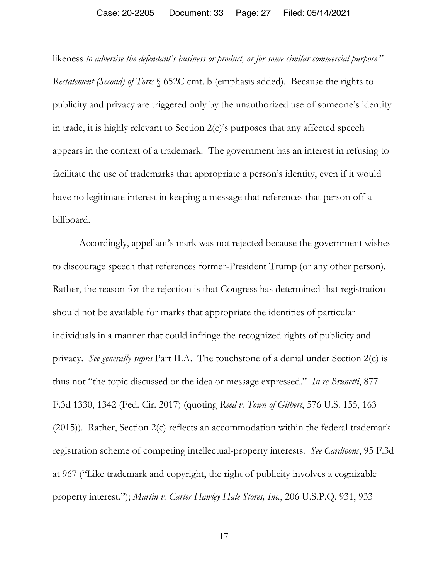#### Case: 20-2205 Document: 33 Page: 27 Filed: 05/14/2021

likeness *to advertise the defendant's business or product, or for some similar commercial purpose*." *Restatement (Second) of Torts* § 652C cmt. b (emphasis added). Because the rights to publicity and privacy are triggered only by the unauthorized use of someone's identity in trade, it is highly relevant to Section 2(c)'s purposes that any affected speech appears in the context of a trademark. The government has an interest in refusing to facilitate the use of trademarks that appropriate a person's identity, even if it would have no legitimate interest in keeping a message that references that person off a billboard.

Accordingly, appellant's mark was not rejected because the government wishes to discourage speech that references former-President Trump (or any other person). Rather, the reason for the rejection is that Congress has determined that registration should not be available for marks that appropriate the identities of particular individuals in a manner that could infringe the recognized rights of publicity and privacy. *See generally supra* Part II.A. The touchstone of a denial under Section 2(c) is thus not "the topic discussed or the idea or message expressed." *In re Brunetti*, 877 F.3d 1330, 1342 (Fed. Cir. 2017) (quoting *Reed v. Town of Gilbert*, 576 U.S. 155, 163 (2015)). Rather, Section 2(c) reflects an accommodation within the federal trademark registration scheme of competing intellectual-property interests. *See Cardtoons*, 95 F.3d at 967 ("Like trademark and copyright, the right of publicity involves a cognizable property interest."); *Martin v. Carter Hawley Hale Stores, Inc.*, 206 U.S.P.Q. 931, 933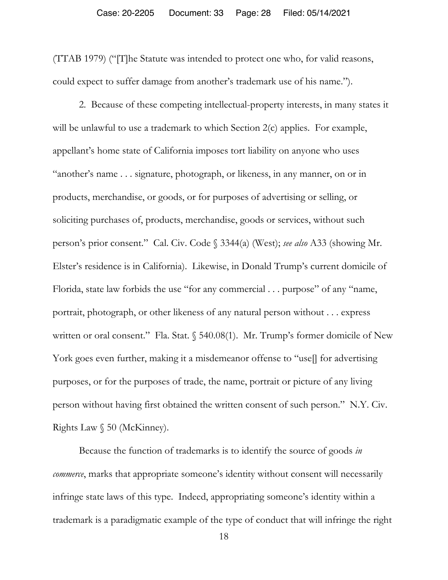(TTAB 1979) ("[T]he Statute was intended to protect one who, for valid reasons, could expect to suffer damage from another's trademark use of his name.").

2. Because of these competing intellectual-property interests, in many states it will be unlawful to use a trademark to which Section 2(c) applies. For example, appellant's home state of California imposes tort liability on anyone who uses "another's name . . . signature, photograph, or likeness, in any manner, on or in products, merchandise, or goods, or for purposes of advertising or selling, or soliciting purchases of, products, merchandise, goods or services, without such person's prior consent." Cal. Civ. Code § 3344(a) (West); *see also* A33 (showing Mr. Elster's residence is in California). Likewise, in Donald Trump's current domicile of Florida, state law forbids the use "for any commercial . . . purpose" of any "name, portrait, photograph, or other likeness of any natural person without . . . express written or oral consent." Fla. Stat. § 540.08(1). Mr. Trump's former domicile of New York goes even further, making it a misdemeanor offense to "use<sup>[]</sup> for advertising purposes, or for the purposes of trade, the name, portrait or picture of any living person without having first obtained the written consent of such person." N.Y. Civ. Rights Law § 50 (McKinney).

Because the function of trademarks is to identify the source of goods *in commerce*, marks that appropriate someone's identity without consent will necessarily infringe state laws of this type. Indeed, appropriating someone's identity within a trademark is a paradigmatic example of the type of conduct that will infringe the right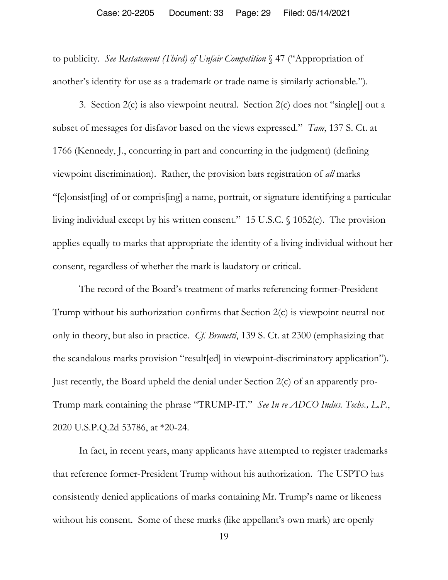#### Case: 20-2205 Document: 33 Page: 29 Filed: 05/14/2021

to publicity. *See Restatement (Third) of Unfair Competition* § 47 ("Appropriation of another's identity for use as a trademark or trade name is similarly actionable.").

3. Section 2(c) is also viewpoint neutral. Section 2(c) does not "single[] out a subset of messages for disfavor based on the views expressed." *Tam*, 137 S. Ct. at 1766 (Kennedy, J., concurring in part and concurring in the judgment) (defining viewpoint discrimination). Rather, the provision bars registration of *all* marks "[c]onsist[ing] of or compris[ing] a name, portrait, or signature identifying a particular living individual except by his written consent." 15 U.S.C. § 1052(c). The provision applies equally to marks that appropriate the identity of a living individual without her consent, regardless of whether the mark is laudatory or critical.

The record of the Board's treatment of marks referencing former-President Trump without his authorization confirms that Section 2(c) is viewpoint neutral not only in theory, but also in practice. *Cf. Brunetti*, 139 S. Ct. at 2300 (emphasizing that the scandalous marks provision "result[ed] in viewpoint-discriminatory application"). Just recently, the Board upheld the denial under Section 2(c) of an apparently pro-Trump mark containing the phrase "TRUMP-IT." *See In re ADCO Indus. Techs., L.P.*, 2020 U.S.P.Q.2d 53786, at \*20-24.

In fact, in recent years, many applicants have attempted to register trademarks that reference former-President Trump without his authorization. The USPTO has consistently denied applications of marks containing Mr. Trump's name or likeness without his consent. Some of these marks (like appellant's own mark) are openly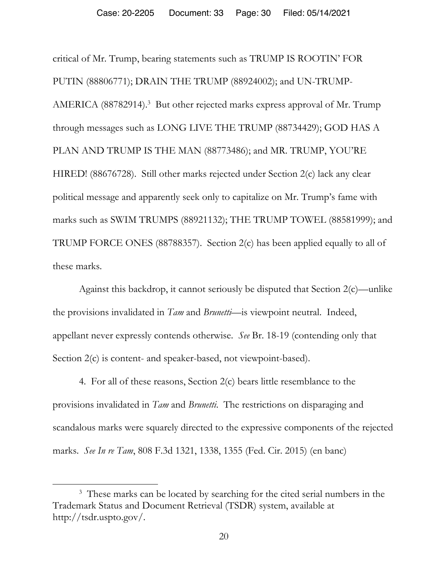critical of Mr. Trump, bearing statements such as TRUMP IS ROOTIN' FOR PUTIN (88806771); DRAIN THE TRUMP (88924002); and UN-TRUMP-AMERICA (88782914).<sup>3</sup> But other rejected marks express approval of Mr. Trump through messages such as LONG LIVE THE TRUMP (88734429); GOD HAS A PLAN AND TRUMP IS THE MAN (88773486); and MR. TRUMP, YOU'RE HIRED! (88676728). Still other marks rejected under Section 2(c) lack any clear political message and apparently seek only to capitalize on Mr. Trump's fame with marks such as SWIM TRUMPS (88921132); THE TRUMP TOWEL (88581999); and TRUMP FORCE ONES (88788357). Section 2(c) has been applied equally to all of these marks.

Against this backdrop, it cannot seriously be disputed that Section 2(c)—unlike the provisions invalidated in *Tam* and *Brunetti*—is viewpoint neutral. Indeed, appellant never expressly contends otherwise. *See* Br. 18-19 (contending only that Section  $2(c)$  is content- and speaker-based, not viewpoint-based).

4. For all of these reasons, Section 2(c) bears little resemblance to the provisions invalidated in *Tam* and *Brunetti*. The restrictions on disparaging and scandalous marks were squarely directed to the expressive components of the rejected marks. *See In re Tam*, 808 F.3d 1321, 1338, 1355 (Fed. Cir. 2015) (en banc)

 $\overline{a}$ 

<sup>&</sup>lt;sup>3</sup> These marks can be located by searching for the cited serial numbers in the Trademark Status and Document Retrieval (TSDR) system, available at http://tsdr.uspto.gov/.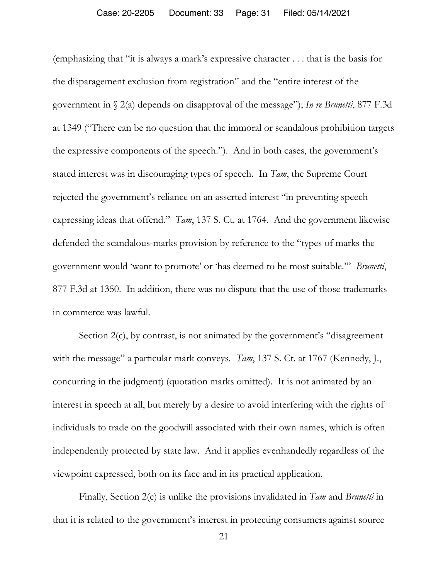(emphasizing that "it is always a mark's expressive character . . . that is the basis for the disparagement exclusion from registration" and the "entire interest of the government in § 2(a) depends on disapproval of the message"); *In re Brunetti*, 877 F.3d at 1349 ("There can be no question that the immoral or scandalous prohibition targets the expressive components of the speech."). And in both cases, the government's stated interest was in discouraging types of speech. In *Tam*, the Supreme Court rejected the government's reliance on an asserted interest "in preventing speech expressing ideas that offend." *Tam*, 137 S. Ct. at 1764. And the government likewise defended the scandalous-marks provision by reference to the "types of marks the government would 'want to promote' or 'has deemed to be most suitable.'" *Brunetti*, 877 F.3d at 1350. In addition, there was no dispute that the use of those trademarks in commerce was lawful.

Section 2(c), by contrast, is not animated by the government's "disagreement with the message" a particular mark conveys. *Tam*, 137 S. Ct. at 1767 (Kennedy, J., concurring in the judgment) (quotation marks omitted). It is not animated by an interest in speech at all, but merely by a desire to avoid interfering with the rights of individuals to trade on the goodwill associated with their own names, which is often independently protected by state law. And it applies evenhandedly regardless of the viewpoint expressed, both on its face and in its practical application.

Finally, Section 2(c) is unlike the provisions invalidated in *Tam* and *Brunetti* in that it is related to the government's interest in protecting consumers against source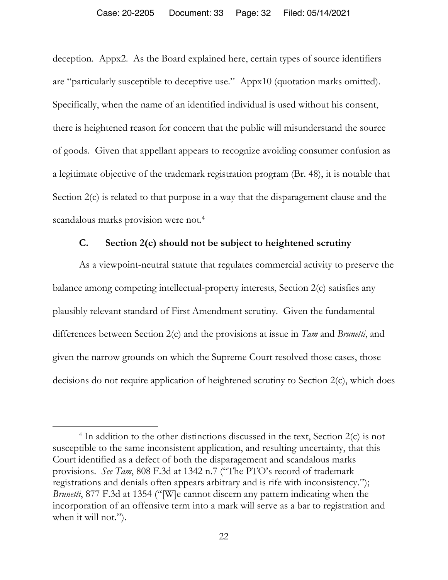deception. Appx2. As the Board explained here, certain types of source identifiers are "particularly susceptible to deceptive use." Appx10 (quotation marks omitted). Specifically, when the name of an identified individual is used without his consent, there is heightened reason for concern that the public will misunderstand the source of goods. Given that appellant appears to recognize avoiding consumer confusion as a legitimate objective of the trademark registration program (Br. 48), it is notable that Section 2(c) is related to that purpose in a way that the disparagement clause and the scandalous marks provision were not.<sup>4</sup>

### **C. Section 2(c) should not be subject to heightened scrutiny**

As a viewpoint-neutral statute that regulates commercial activity to preserve the balance among competing intellectual-property interests, Section 2(c) satisfies any plausibly relevant standard of First Amendment scrutiny. Given the fundamental differences between Section 2(c) and the provisions at issue in *Tam* and *Brunetti*, and given the narrow grounds on which the Supreme Court resolved those cases, those decisions do not require application of heightened scrutiny to Section 2(c), which does

 $\overline{a}$ 

<sup>&</sup>lt;sup>4</sup> In addition to the other distinctions discussed in the text, Section 2(c) is not susceptible to the same inconsistent application, and resulting uncertainty, that this Court identified as a defect of both the disparagement and scandalous marks provisions. *See Tam*, 808 F.3d at 1342 n.7 ("The PTO's record of trademark registrations and denials often appears arbitrary and is rife with inconsistency."); *Brunetti*, 877 F.3d at 1354 ("[W]e cannot discern any pattern indicating when the incorporation of an offensive term into a mark will serve as a bar to registration and when it will not.").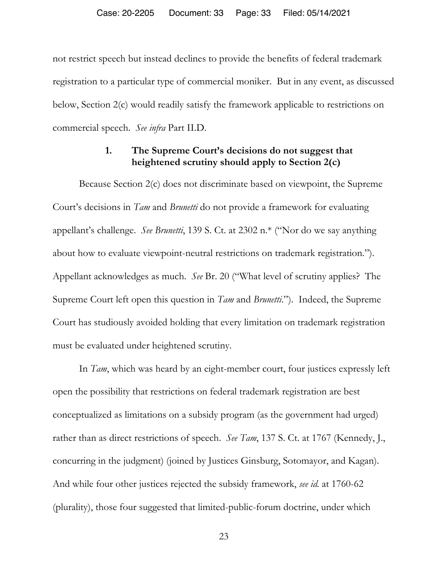not restrict speech but instead declines to provide the benefits of federal trademark registration to a particular type of commercial moniker. But in any event, as discussed below, Section 2(c) would readily satisfy the framework applicable to restrictions on commercial speech. *See infra* Part II.D.

### **1. The Supreme Court's decisions do not suggest that heightened scrutiny should apply to Section 2(c)**

Because Section 2(c) does not discriminate based on viewpoint, the Supreme Court's decisions in *Tam* and *Brunetti* do not provide a framework for evaluating appellant's challenge. *See Brunetti*, 139 S. Ct. at 2302 n.\* ("Nor do we say anything about how to evaluate viewpoint-neutral restrictions on trademark registration."). Appellant acknowledges as much. *See* Br. 20 ("What level of scrutiny applies? The Supreme Court left open this question in *Tam* and *Brunetti*."). Indeed, the Supreme Court has studiously avoided holding that every limitation on trademark registration must be evaluated under heightened scrutiny.

In *Tam*, which was heard by an eight-member court, four justices expressly left open the possibility that restrictions on federal trademark registration are best conceptualized as limitations on a subsidy program (as the government had urged) rather than as direct restrictions of speech. *See Tam*, 137 S. Ct. at 1767 (Kennedy, J., concurring in the judgment) (joined by Justices Ginsburg, Sotomayor, and Kagan). And while four other justices rejected the subsidy framework, *see id.* at 1760-62 (plurality), those four suggested that limited-public-forum doctrine, under which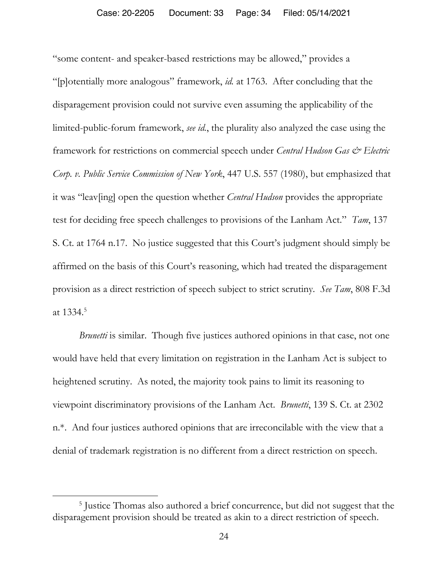"some content- and speaker-based restrictions may be allowed," provides a "[p]otentially more analogous" framework, *id.* at 1763. After concluding that the disparagement provision could not survive even assuming the applicability of the limited-public-forum framework, *see id.*, the plurality also analyzed the case using the framework for restrictions on commercial speech under *Central Hudson Gas & Electric Corp. v. Public Service Commission of New York*, 447 U.S. 557 (1980), but emphasized that it was "leav[ing] open the question whether *Central Hudson* provides the appropriate test for deciding free speech challenges to provisions of the Lanham Act." *Tam*, 137 S. Ct. at 1764 n.17. No justice suggested that this Court's judgment should simply be affirmed on the basis of this Court's reasoning, which had treated the disparagement provision as a direct restriction of speech subject to strict scrutiny*. See Tam*, 808 F.3d at 1334.5

*Brunetti* is similar. Though five justices authored opinions in that case, not one would have held that every limitation on registration in the Lanham Act is subject to heightened scrutiny. As noted, the majority took pains to limit its reasoning to viewpoint discriminatory provisions of the Lanham Act. *Brunetti*, 139 S. Ct. at 2302 n.\*. And four justices authored opinions that are irreconcilable with the view that a denial of trademark registration is no different from a direct restriction on speech.

 $\overline{a}$ 

<sup>&</sup>lt;sup>5</sup> Justice Thomas also authored a brief concurrence, but did not suggest that the disparagement provision should be treated as akin to a direct restriction of speech.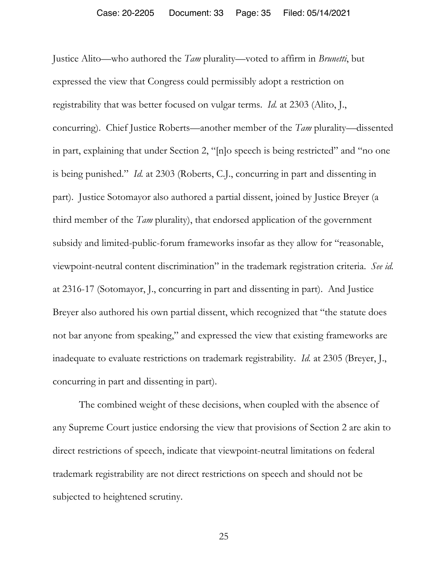Justice Alito—who authored the *Tam* plurality—voted to affirm in *Brunetti*, but expressed the view that Congress could permissibly adopt a restriction on registrability that was better focused on vulgar terms. *Id.* at 2303 (Alito, J., concurring). Chief Justice Roberts—another member of the *Tam* plurality—dissented in part, explaining that under Section 2, "[n]o speech is being restricted" and "no one is being punished." *Id.* at 2303 (Roberts, C.J., concurring in part and dissenting in part). Justice Sotomayor also authored a partial dissent, joined by Justice Breyer (a third member of the *Tam* plurality), that endorsed application of the government subsidy and limited-public-forum frameworks insofar as they allow for "reasonable, viewpoint-neutral content discrimination" in the trademark registration criteria. *See id.* at 2316-17 (Sotomayor, J., concurring in part and dissenting in part). And Justice Breyer also authored his own partial dissent, which recognized that "the statute does not bar anyone from speaking," and expressed the view that existing frameworks are inadequate to evaluate restrictions on trademark registrability. *Id.* at 2305 (Breyer, J., concurring in part and dissenting in part).

The combined weight of these decisions, when coupled with the absence of any Supreme Court justice endorsing the view that provisions of Section 2 are akin to direct restrictions of speech, indicate that viewpoint-neutral limitations on federal trademark registrability are not direct restrictions on speech and should not be subjected to heightened scrutiny.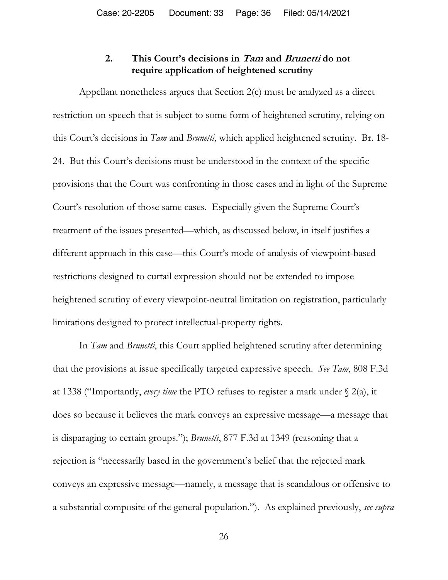## **2. This Court's decisions in Tam and Brunetti do not require application of heightened scrutiny**

Appellant nonetheless argues that Section 2(c) must be analyzed as a direct restriction on speech that is subject to some form of heightened scrutiny, relying on this Court's decisions in *Tam* and *Brunetti*, which applied heightened scrutiny. Br. 18- 24. But this Court's decisions must be understood in the context of the specific provisions that the Court was confronting in those cases and in light of the Supreme Court's resolution of those same cases. Especially given the Supreme Court's treatment of the issues presented—which, as discussed below, in itself justifies a different approach in this case—this Court's mode of analysis of viewpoint-based restrictions designed to curtail expression should not be extended to impose heightened scrutiny of every viewpoint-neutral limitation on registration, particularly limitations designed to protect intellectual-property rights.

In *Tam* and *Brunetti*, this Court applied heightened scrutiny after determining that the provisions at issue specifically targeted expressive speech. *See Tam*, 808 F.3d at 1338 ("Importantly, *every time* the PTO refuses to register a mark under § 2(a), it does so because it believes the mark conveys an expressive message—a message that is disparaging to certain groups."); *Brunetti*, 877 F.3d at 1349 (reasoning that a rejection is "necessarily based in the government's belief that the rejected mark conveys an expressive message—namely, a message that is scandalous or offensive to a substantial composite of the general population."). As explained previously, *see supra*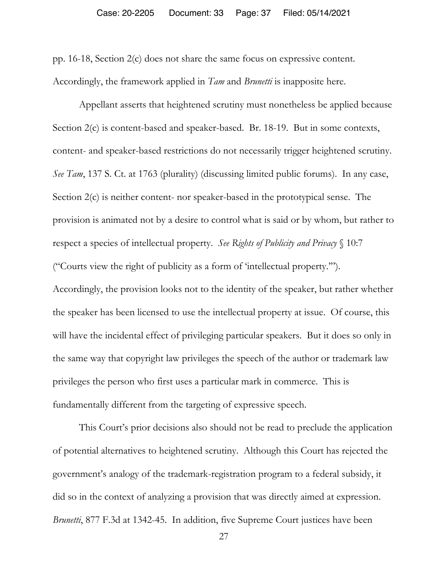pp. 16-18, Section 2(c) does not share the same focus on expressive content. Accordingly, the framework applied in *Tam* and *Brunetti* is inapposite here.

Appellant asserts that heightened scrutiny must nonetheless be applied because Section 2(c) is content-based and speaker-based. Br. 18-19. But in some contexts, content- and speaker-based restrictions do not necessarily trigger heightened scrutiny. *See Tam*, 137 S. Ct. at 1763 (plurality) (discussing limited public forums). In any case, Section 2(c) is neither content- nor speaker-based in the prototypical sense. The provision is animated not by a desire to control what is said or by whom, but rather to respect a species of intellectual property. *See Rights of Publicity and Privacy* § 10:7 ("Courts view the right of publicity as a form of 'intellectual property.'"). Accordingly, the provision looks not to the identity of the speaker, but rather whether the speaker has been licensed to use the intellectual property at issue. Of course, this will have the incidental effect of privileging particular speakers. But it does so only in the same way that copyright law privileges the speech of the author or trademark law privileges the person who first uses a particular mark in commerce. This is fundamentally different from the targeting of expressive speech.

This Court's prior decisions also should not be read to preclude the application of potential alternatives to heightened scrutiny. Although this Court has rejected the government's analogy of the trademark-registration program to a federal subsidy, it did so in the context of analyzing a provision that was directly aimed at expression. *Brunetti*, 877 F.3d at 1342-45. In addition, five Supreme Court justices have been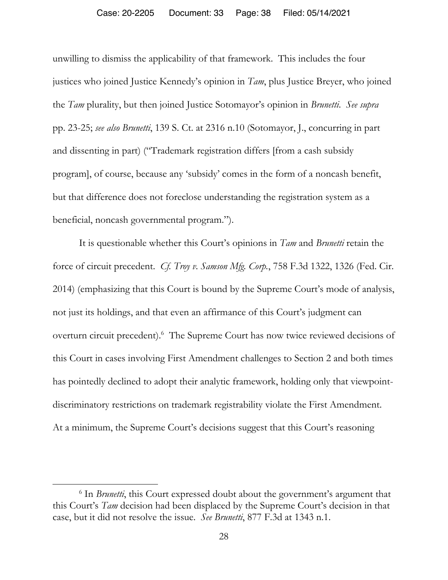unwilling to dismiss the applicability of that framework. This includes the four justices who joined Justice Kennedy's opinion in *Tam*, plus Justice Breyer, who joined the *Tam* plurality, but then joined Justice Sotomayor's opinion in *Brunetti*. *See supra*  pp. 23-25; *see also Brunetti*, 139 S. Ct. at 2316 n.10 (Sotomayor, J., concurring in part and dissenting in part) ("Trademark registration differs [from a cash subsidy program], of course, because any 'subsidy' comes in the form of a noncash benefit, but that difference does not foreclose understanding the registration system as a beneficial, noncash governmental program.").

It is questionable whether this Court's opinions in *Tam* and *Brunetti* retain the force of circuit precedent. *Cf. Troy v. Samson Mfg. Corp.*, 758 F.3d 1322, 1326 (Fed. Cir. 2014) (emphasizing that this Court is bound by the Supreme Court's mode of analysis, not just its holdings, and that even an affirmance of this Court's judgment can overturn circuit precedent).<sup>6</sup> The Supreme Court has now twice reviewed decisions of this Court in cases involving First Amendment challenges to Section 2 and both times has pointedly declined to adopt their analytic framework, holding only that viewpointdiscriminatory restrictions on trademark registrability violate the First Amendment. At a minimum, the Supreme Court's decisions suggest that this Court's reasoning

 $\overline{a}$ 

<sup>&</sup>lt;sup>6</sup> In *Brunetti*, this Court expressed doubt about the government's argument that this Court's *Tam* decision had been displaced by the Supreme Court's decision in that case, but it did not resolve the issue. *See Brunetti*, 877 F.3d at 1343 n.1.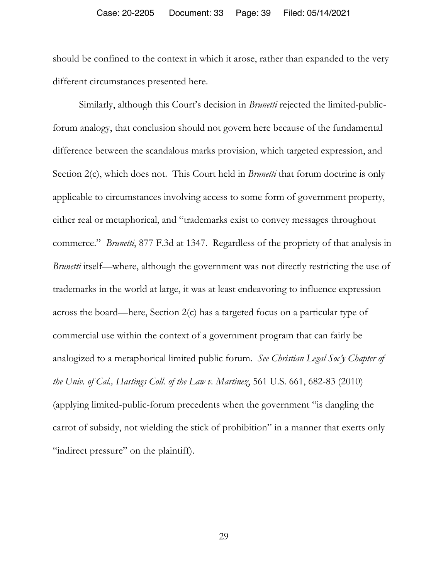should be confined to the context in which it arose, rather than expanded to the very different circumstances presented here.

Similarly, although this Court's decision in *Brunetti* rejected the limited-publicforum analogy, that conclusion should not govern here because of the fundamental difference between the scandalous marks provision, which targeted expression, and Section 2(c), which does not. This Court held in *Brunetti* that forum doctrine is only applicable to circumstances involving access to some form of government property, either real or metaphorical, and "trademarks exist to convey messages throughout commerce." *Brunetti*, 877 F.3d at 1347. Regardless of the propriety of that analysis in *Brunetti* itself—where, although the government was not directly restricting the use of trademarks in the world at large, it was at least endeavoring to influence expression across the board—here, Section 2(c) has a targeted focus on a particular type of commercial use within the context of a government program that can fairly be analogized to a metaphorical limited public forum. *See Christian Legal Soc'y Chapter of the Univ. of Cal., Hastings Coll. of the Law v. Martinez*, 561 U.S. 661, 682-83 (2010) (applying limited-public-forum precedents when the government "is dangling the carrot of subsidy, not wielding the stick of prohibition" in a manner that exerts only "indirect pressure" on the plaintiff).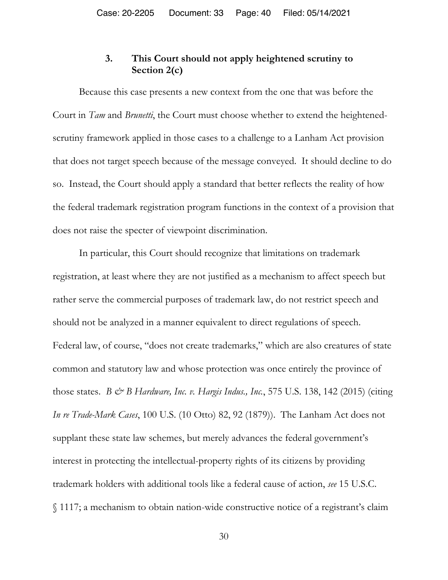## **3. This Court should not apply heightened scrutiny to Section 2(c)**

Because this case presents a new context from the one that was before the Court in *Tam* and *Brunetti*, the Court must choose whether to extend the heightenedscrutiny framework applied in those cases to a challenge to a Lanham Act provision that does not target speech because of the message conveyed. It should decline to do so. Instead, the Court should apply a standard that better reflects the reality of how the federal trademark registration program functions in the context of a provision that does not raise the specter of viewpoint discrimination.

In particular, this Court should recognize that limitations on trademark registration, at least where they are not justified as a mechanism to affect speech but rather serve the commercial purposes of trademark law, do not restrict speech and should not be analyzed in a manner equivalent to direct regulations of speech. Federal law, of course, "does not create trademarks," which are also creatures of state common and statutory law and whose protection was once entirely the province of those states. *B & B Hardware, Inc. v. Hargis Indus., Inc.*, 575 U.S. 138, 142 (2015) (citing *In re Trade-Mark Cases*, 100 U.S. (10 Otto) 82, 92 (1879)). The Lanham Act does not supplant these state law schemes, but merely advances the federal government's interest in protecting the intellectual-property rights of its citizens by providing trademark holders with additional tools like a federal cause of action, *see* 15 U.S.C. § 1117; a mechanism to obtain nation-wide constructive notice of a registrant's claim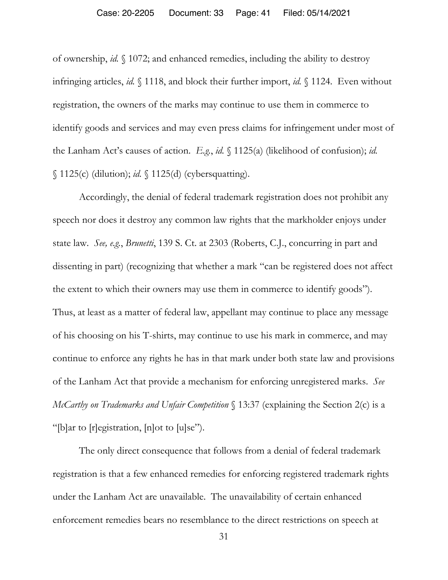of ownership, *id.* § 1072; and enhanced remedies, including the ability to destroy infringing articles, *id.* § 1118, and block their further import, *id.* § 1124. Even without registration, the owners of the marks may continue to use them in commerce to identify goods and services and may even press claims for infringement under most of the Lanham Act's causes of action. *E.g.*, *id.* § 1125(a) (likelihood of confusion); *id.* § 1125(c) (dilution); *id.* § 1125(d) (cybersquatting).

Accordingly, the denial of federal trademark registration does not prohibit any speech nor does it destroy any common law rights that the markholder enjoys under state law. *See, e.g.*, *Brunetti*, 139 S. Ct. at 2303 (Roberts, C.J., concurring in part and dissenting in part) (recognizing that whether a mark "can be registered does not affect the extent to which their owners may use them in commerce to identify goods"). Thus, at least as a matter of federal law, appellant may continue to place any message of his choosing on his T-shirts, may continue to use his mark in commerce, and may continue to enforce any rights he has in that mark under both state law and provisions of the Lanham Act that provide a mechanism for enforcing unregistered marks. *See McCarthy on Trademarks and Unfair Competition* § 13:37 (explaining the Section 2(c) is a "[b]ar to [r]egistration, [n]ot to [u]se").

The only direct consequence that follows from a denial of federal trademark registration is that a few enhanced remedies for enforcing registered trademark rights under the Lanham Act are unavailable. The unavailability of certain enhanced enforcement remedies bears no resemblance to the direct restrictions on speech at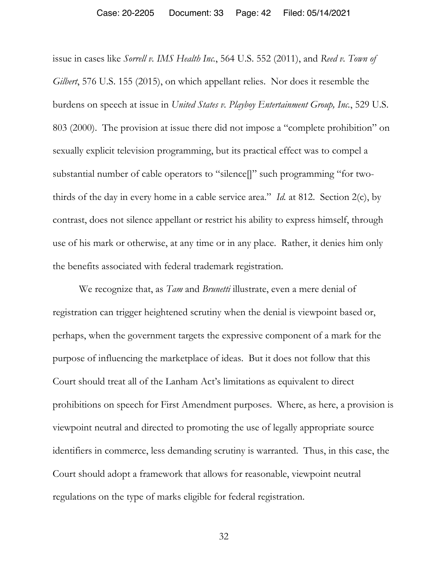#### Case: 20-2205 Document: 33 Page: 42 Filed: 05/14/2021

issue in cases like *Sorrell v. IMS Health Inc.*, 564 U.S. 552 (2011), and *Reed v. Town of Gilbert*, 576 U.S. 155 (2015), on which appellant relies. Nor does it resemble the burdens on speech at issue in *United States v. Playboy Entertainment Group, Inc.*, 529 U.S. 803 (2000). The provision at issue there did not impose a "complete prohibition" on sexually explicit television programming, but its practical effect was to compel a substantial number of cable operators to "silence[]" such programming "for twothirds of the day in every home in a cable service area." *Id.* at 812. Section 2(c), by contrast, does not silence appellant or restrict his ability to express himself, through use of his mark or otherwise, at any time or in any place. Rather, it denies him only the benefits associated with federal trademark registration.

We recognize that, as *Tam* and *Brunetti* illustrate, even a mere denial of registration can trigger heightened scrutiny when the denial is viewpoint based or, perhaps, when the government targets the expressive component of a mark for the purpose of influencing the marketplace of ideas. But it does not follow that this Court should treat all of the Lanham Act's limitations as equivalent to direct prohibitions on speech for First Amendment purposes. Where, as here, a provision is viewpoint neutral and directed to promoting the use of legally appropriate source identifiers in commerce, less demanding scrutiny is warranted. Thus, in this case, the Court should adopt a framework that allows for reasonable, viewpoint neutral regulations on the type of marks eligible for federal registration.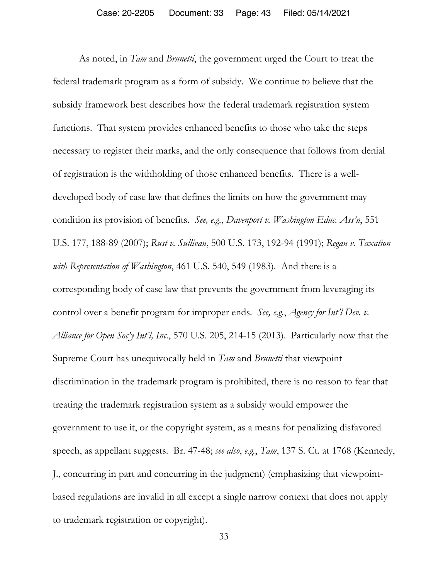As noted, in *Tam* and *Brunetti*, the government urged the Court to treat the federal trademark program as a form of subsidy. We continue to believe that the subsidy framework best describes how the federal trademark registration system functions. That system provides enhanced benefits to those who take the steps necessary to register their marks, and the only consequence that follows from denial of registration is the withholding of those enhanced benefits. There is a welldeveloped body of case law that defines the limits on how the government may condition its provision of benefits. *See, e.g.*, *Davenport v. Washington Educ. Ass'n*, 551 U.S. 177, 188-89 (2007); *Rust v. Sullivan*, 500 U.S. 173, 192-94 (1991); *Regan v. Taxation with Representation of Washington*, 461 U.S. 540, 549 (1983). And there is a corresponding body of case law that prevents the government from leveraging its control over a benefit program for improper ends. *See, e.g.*, *Agency for Int'l Dev. v. Alliance for Open Soc'y Int'l, Inc.*, 570 U.S. 205, 214-15 (2013). Particularly now that the Supreme Court has unequivocally held in *Tam* and *Brunetti* that viewpoint discrimination in the trademark program is prohibited, there is no reason to fear that treating the trademark registration system as a subsidy would empower the government to use it, or the copyright system, as a means for penalizing disfavored speech, as appellant suggests. Br. 47-48; *see also*, *e.g.*, *Tam*, 137 S. Ct. at 1768 (Kennedy, J., concurring in part and concurring in the judgment) (emphasizing that viewpointbased regulations are invalid in all except a single narrow context that does not apply to trademark registration or copyright).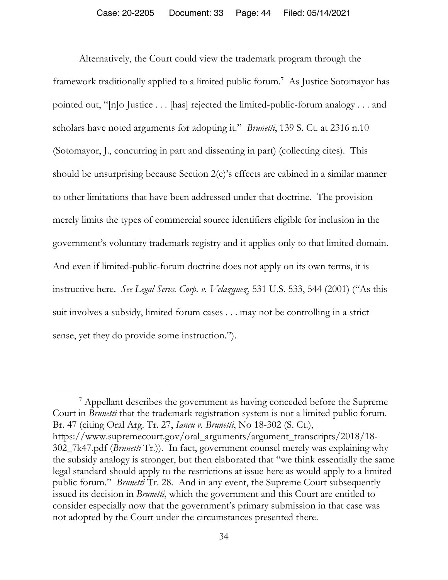Alternatively, the Court could view the trademark program through the framework traditionally applied to a limited public forum.<sup>7</sup> As Justice Sotomayor has pointed out, "[n]o Justice . . . [has] rejected the limited-public-forum analogy . . . and scholars have noted arguments for adopting it." *Brunetti*, 139 S. Ct. at 2316 n.10 (Sotomayor, J., concurring in part and dissenting in part) (collecting cites). This should be unsurprising because Section 2(c)'s effects are cabined in a similar manner to other limitations that have been addressed under that doctrine. The provision merely limits the types of commercial source identifiers eligible for inclusion in the government's voluntary trademark registry and it applies only to that limited domain. And even if limited-public-forum doctrine does not apply on its own terms, it is instructive here. *See Legal Servs. Corp. v. Velazquez*, 531 U.S. 533, 544 (2001) ("As this suit involves a subsidy, limited forum cases . . . may not be controlling in a strict sense, yet they do provide some instruction.").

 $\overline{a}$ 

<sup>&</sup>lt;sup>7</sup> Appellant describes the government as having conceded before the Supreme Court in *Brunetti* that the trademark registration system is not a limited public forum. Br. 47 (citing Oral Arg. Tr. 27, *Iancu v. Brunetti*, No 18-302 (S. Ct.), https://www.supremecourt.gov/oral\_arguments/argument\_transcripts/2018/18- 302\_7k47.pdf (*Brunetti* Tr.)). In fact, government counsel merely was explaining why the subsidy analogy is stronger, but then elaborated that "we think essentially the same legal standard should apply to the restrictions at issue here as would apply to a limited public forum." *Brunetti* Tr. 28. And in any event, the Supreme Court subsequently issued its decision in *Brunetti*, which the government and this Court are entitled to consider especially now that the government's primary submission in that case was not adopted by the Court under the circumstances presented there.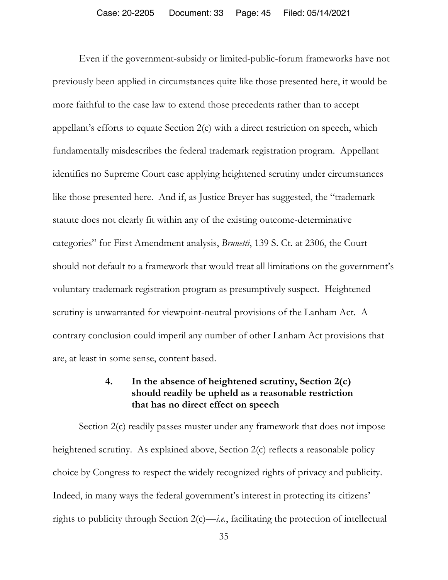Even if the government-subsidy or limited-public-forum frameworks have not previously been applied in circumstances quite like those presented here, it would be more faithful to the case law to extend those precedents rather than to accept appellant's efforts to equate Section 2(c) with a direct restriction on speech, which fundamentally misdescribes the federal trademark registration program. Appellant identifies no Supreme Court case applying heightened scrutiny under circumstances like those presented here. And if, as Justice Breyer has suggested, the "trademark statute does not clearly fit within any of the existing outcome-determinative categories" for First Amendment analysis, *Brunetti*, 139 S. Ct. at 2306, the Court should not default to a framework that would treat all limitations on the government's voluntary trademark registration program as presumptively suspect. Heightened scrutiny is unwarranted for viewpoint-neutral provisions of the Lanham Act. A contrary conclusion could imperil any number of other Lanham Act provisions that are, at least in some sense, content based.

### **4. In the absence of heightened scrutiny, Section 2(c) should readily be upheld as a reasonable restriction that has no direct effect on speech**

Section 2(c) readily passes muster under any framework that does not impose heightened scrutiny. As explained above, Section 2(c) reflects a reasonable policy choice by Congress to respect the widely recognized rights of privacy and publicity. Indeed, in many ways the federal government's interest in protecting its citizens' rights to publicity through Section 2(c)—*i.e.*, facilitating the protection of intellectual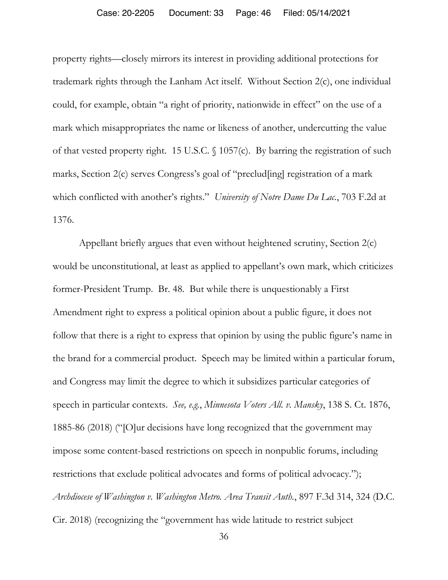#### Case: 20-2205 Document: 33 Page: 46 Filed: 05/14/2021

property rights—closely mirrors its interest in providing additional protections for trademark rights through the Lanham Act itself. Without Section 2(c), one individual could, for example, obtain "a right of priority, nationwide in effect" on the use of a mark which misappropriates the name or likeness of another, undercutting the value of that vested property right. 15 U.S.C. § 1057(c). By barring the registration of such marks, Section 2(c) serves Congress's goal of "preclud[ing] registration of a mark which conflicted with another's rights." *University of Notre Dame Du Lac.*, 703 F.2d at 1376.

Appellant briefly argues that even without heightened scrutiny, Section 2(c) would be unconstitutional, at least as applied to appellant's own mark, which criticizes former-President Trump. Br. 48. But while there is unquestionably a First Amendment right to express a political opinion about a public figure, it does not follow that there is a right to express that opinion by using the public figure's name in the brand for a commercial product. Speech may be limited within a particular forum, and Congress may limit the degree to which it subsidizes particular categories of speech in particular contexts. *See, e.g.*, *Minnesota Voters All. v. Mansky*, 138 S. Ct. 1876, 1885-86 (2018) ("[O]ur decisions have long recognized that the government may impose some content-based restrictions on speech in nonpublic forums, including restrictions that exclude political advocates and forms of political advocacy."); *Archdiocese of Washington v. Washington Metro. Area Transit Auth.*, 897 F.3d 314, 324 (D.C. Cir. 2018) (recognizing the "government has wide latitude to restrict subject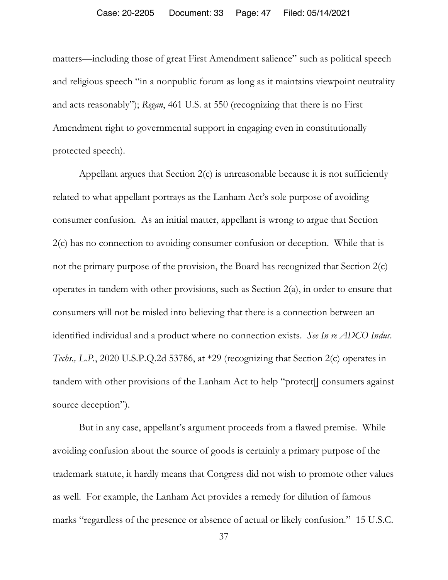matters—including those of great First Amendment salience" such as political speech and religious speech "in a nonpublic forum as long as it maintains viewpoint neutrality and acts reasonably"); *Regan*, 461 U.S. at 550 (recognizing that there is no First Amendment right to governmental support in engaging even in constitutionally protected speech).

Appellant argues that Section 2(c) is unreasonable because it is not sufficiently related to what appellant portrays as the Lanham Act's sole purpose of avoiding consumer confusion. As an initial matter, appellant is wrong to argue that Section 2(c) has no connection to avoiding consumer confusion or deception. While that is not the primary purpose of the provision, the Board has recognized that Section 2(c) operates in tandem with other provisions, such as Section 2(a), in order to ensure that consumers will not be misled into believing that there is a connection between an identified individual and a product where no connection exists. *See In re ADCO Indus. Techs., L.P.*, 2020 U.S.P.Q.2d 53786, at \*29 (recognizing that Section 2(c) operates in tandem with other provisions of the Lanham Act to help "protect[] consumers against source deception").

But in any case, appellant's argument proceeds from a flawed premise. While avoiding confusion about the source of goods is certainly a primary purpose of the trademark statute, it hardly means that Congress did not wish to promote other values as well. For example, the Lanham Act provides a remedy for dilution of famous marks "regardless of the presence or absence of actual or likely confusion." 15 U.S.C.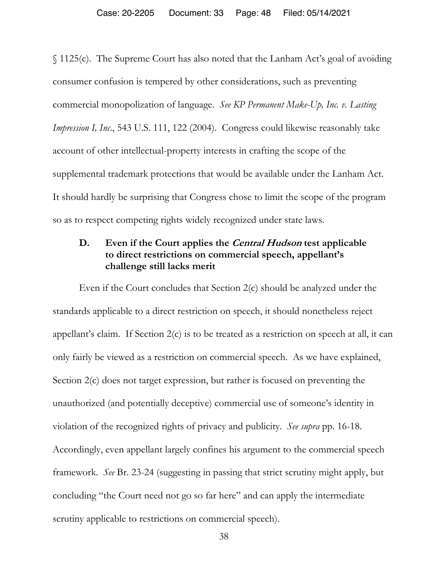§ 1125(c). The Supreme Court has also noted that the Lanham Act's goal of avoiding consumer confusion is tempered by other considerations, such as preventing commercial monopolization of language. *See KP Permanent Make-Up, Inc. v. Lasting Impression I, Inc.*, 543 U.S. 111, 122 (2004). Congress could likewise reasonably take account of other intellectual-property interests in crafting the scope of the supplemental trademark protections that would be available under the Lanham Act. It should hardly be surprising that Congress chose to limit the scope of the program so as to respect competing rights widely recognized under state laws.

# **D. Even if the Court applies the Central Hudson test applicable to direct restrictions on commercial speech, appellant's challenge still lacks merit**

Even if the Court concludes that Section 2(c) should be analyzed under the standards applicable to a direct restriction on speech, it should nonetheless reject appellant's claim. If Section 2(c) is to be treated as a restriction on speech at all, it can only fairly be viewed as a restriction on commercial speech. As we have explained, Section 2(c) does not target expression, but rather is focused on preventing the unauthorized (and potentially deceptive) commercial use of someone's identity in violation of the recognized rights of privacy and publicity. *See supra* pp. 16-18. Accordingly, even appellant largely confines his argument to the commercial speech framework. *See* Br. 23-24 (suggesting in passing that strict scrutiny might apply, but concluding "the Court need not go so far here" and can apply the intermediate scrutiny applicable to restrictions on commercial speech).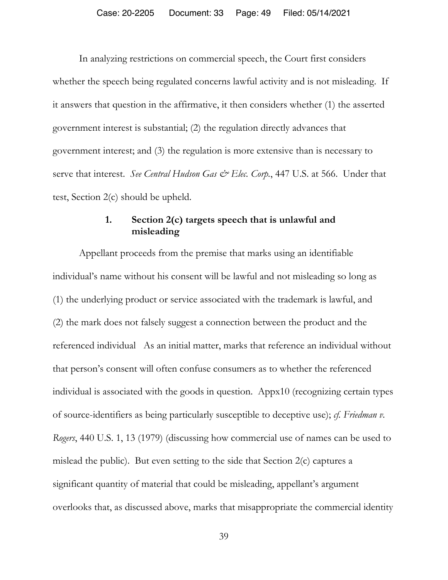In analyzing restrictions on commercial speech, the Court first considers whether the speech being regulated concerns lawful activity and is not misleading. If it answers that question in the affirmative, it then considers whether (1) the asserted government interest is substantial; (2) the regulation directly advances that government interest; and (3) the regulation is more extensive than is necessary to serve that interest. *See Central Hudson Gas & Elec. Corp.*, 447 U.S. at 566. Under that test, Section 2(c) should be upheld.

## **1. Section 2(c) targets speech that is unlawful and misleading**

Appellant proceeds from the premise that marks using an identifiable individual's name without his consent will be lawful and not misleading so long as (1) the underlying product or service associated with the trademark is lawful, and (2) the mark does not falsely suggest a connection between the product and the referenced individual As an initial matter, marks that reference an individual without that person's consent will often confuse consumers as to whether the referenced individual is associated with the goods in question. Appx10 (recognizing certain types of source-identifiers as being particularly susceptible to deceptive use); *cf. Friedman v. Rogers*, 440 U.S. 1, 13 (1979) (discussing how commercial use of names can be used to mislead the public). But even setting to the side that Section 2(c) captures a significant quantity of material that could be misleading, appellant's argument overlooks that, as discussed above, marks that misappropriate the commercial identity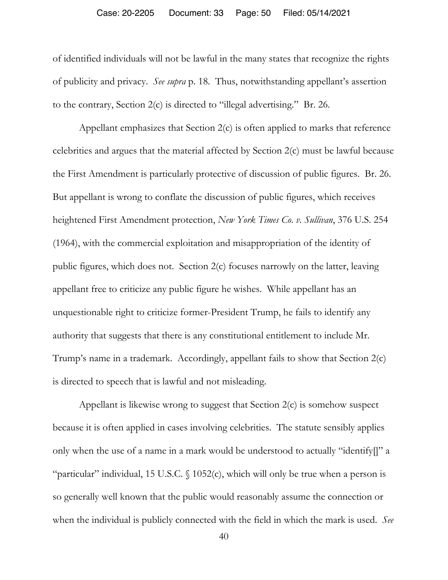#### Case: 20-2205 Document: 33 Page: 50 Filed: 05/14/2021

of identified individuals will not be lawful in the many states that recognize the rights of publicity and privacy. *See supra* p. 18. Thus, notwithstanding appellant's assertion to the contrary, Section 2(c) is directed to "illegal advertising." Br. 26.

Appellant emphasizes that Section 2(c) is often applied to marks that reference celebrities and argues that the material affected by Section 2(c) must be lawful because the First Amendment is particularly protective of discussion of public figures. Br. 26. But appellant is wrong to conflate the discussion of public figures, which receives heightened First Amendment protection, *New York Times Co. v. Sullivan*, 376 U.S. 254 (1964), with the commercial exploitation and misappropriation of the identity of public figures, which does not. Section 2(c) focuses narrowly on the latter, leaving appellant free to criticize any public figure he wishes. While appellant has an unquestionable right to criticize former-President Trump, he fails to identify any authority that suggests that there is any constitutional entitlement to include Mr. Trump's name in a trademark. Accordingly, appellant fails to show that Section 2(c) is directed to speech that is lawful and not misleading.

Appellant is likewise wrong to suggest that Section 2(c) is somehow suspect because it is often applied in cases involving celebrities. The statute sensibly applies only when the use of a name in a mark would be understood to actually "identify[]" a "particular" individual, 15 U.S.C. § 1052(c), which will only be true when a person is so generally well known that the public would reasonably assume the connection or when the individual is publicly connected with the field in which the mark is used. *See*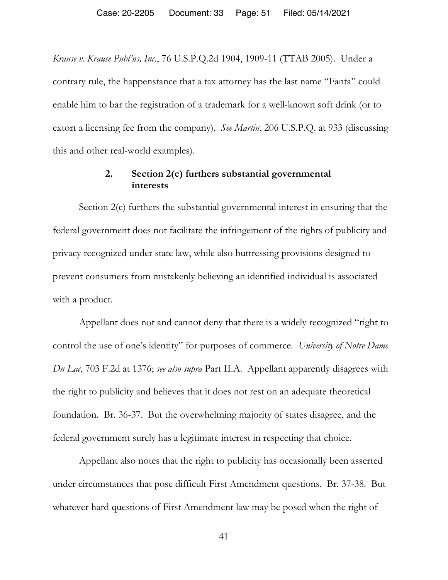*Krause v. Krause Publ'ns, Inc*., 76 U.S.P.Q.2d 1904, 1909-11 (TTAB 2005). Under a contrary rule, the happenstance that a tax attorney has the last name "Fanta" could enable him to bar the registration of a trademark for a well-known soft drink (or to extort a licensing fee from the company). *See Martin*, 206 U.S.P.Q. at 933 (discussing this and other real-world examples).

## **2. Section 2(c) furthers substantial governmental interests**

Section 2(c) furthers the substantial governmental interest in ensuring that the federal government does not facilitate the infringement of the rights of publicity and privacy recognized under state law, while also buttressing provisions designed to prevent consumers from mistakenly believing an identified individual is associated with a product.

Appellant does not and cannot deny that there is a widely recognized "right to control the use of one's identity" for purposes of commerce. *University of Notre Dame Du Lac*, 703 F.2d at 1376; *see also supra* Part II.A. Appellant apparently disagrees with the right to publicity and believes that it does not rest on an adequate theoretical foundation. Br. 36-37. But the overwhelming majority of states disagree, and the federal government surely has a legitimate interest in respecting that choice.

Appellant also notes that the right to publicity has occasionally been asserted under circumstances that pose difficult First Amendment questions. Br. 37-38. But whatever hard questions of First Amendment law may be posed when the right of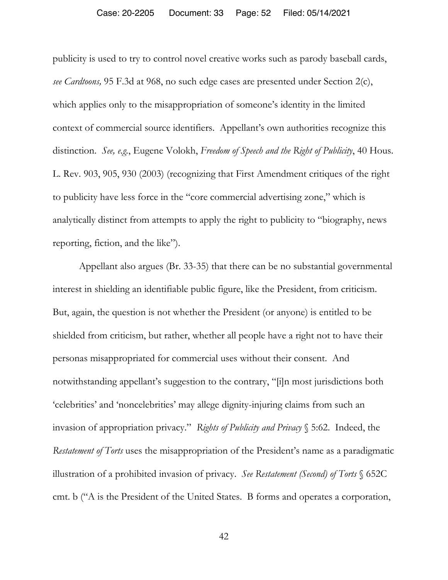#### Case: 20-2205 Document: 33 Page: 52 Filed: 05/14/2021

publicity is used to try to control novel creative works such as parody baseball cards, *see Cardtoons,* 95 F.3d at 968, no such edge cases are presented under Section 2(c), which applies only to the misappropriation of someone's identity in the limited context of commercial source identifiers. Appellant's own authorities recognize this distinction. *See, e.g.*, Eugene Volokh, *Freedom of Speech and the Right of Publicity*, 40 Hous. L. Rev. 903, 905, 930 (2003) (recognizing that First Amendment critiques of the right to publicity have less force in the "core commercial advertising zone," which is analytically distinct from attempts to apply the right to publicity to "biography, news reporting, fiction, and the like").

Appellant also argues (Br. 33-35) that there can be no substantial governmental interest in shielding an identifiable public figure, like the President, from criticism. But, again, the question is not whether the President (or anyone) is entitled to be shielded from criticism, but rather, whether all people have a right not to have their personas misappropriated for commercial uses without their consent. And notwithstanding appellant's suggestion to the contrary, "[i]n most jurisdictions both 'celebrities' and 'noncelebrities' may allege dignity-injuring claims from such an invasion of appropriation privacy." *Rights of Publicity and Privacy* § 5:62. Indeed, the *Restatement of Torts* uses the misappropriation of the President's name as a paradigmatic illustration of a prohibited invasion of privacy. *See Restatement (Second) of Torts* § 652C cmt. b ("A is the President of the United States. B forms and operates a corporation,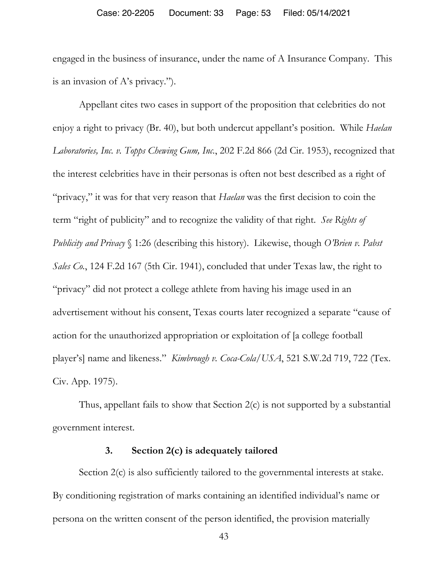engaged in the business of insurance, under the name of A Insurance Company. This is an invasion of A's privacy.").

Appellant cites two cases in support of the proposition that celebrities do not enjoy a right to privacy (Br. 40), but both undercut appellant's position. While *Haelan Laboratories, Inc. v. Topps Chewing Gum, Inc.*, 202 F.2d 866 (2d Cir. 1953), recognized that the interest celebrities have in their personas is often not best described as a right of "privacy," it was for that very reason that *Haelan* was the first decision to coin the term "right of publicity" and to recognize the validity of that right. *See Rights of Publicity and Privacy* § 1:26 (describing this history). Likewise, though *O'Brien v. Pabst Sales Co.*, 124 F.2d 167 (5th Cir. 1941), concluded that under Texas law, the right to "privacy" did not protect a college athlete from having his image used in an advertisement without his consent, Texas courts later recognized a separate "cause of action for the unauthorized appropriation or exploitation of [a college football player's] name and likeness." *Kimbrough v. Coca-Cola/USA*, 521 S.W.2d 719, 722 (Tex. Civ. App. 1975).

Thus, appellant fails to show that Section 2(c) is not supported by a substantial government interest.

## **3. Section 2(c) is adequately tailored**

Section 2(c) is also sufficiently tailored to the governmental interests at stake. By conditioning registration of marks containing an identified individual's name or persona on the written consent of the person identified, the provision materially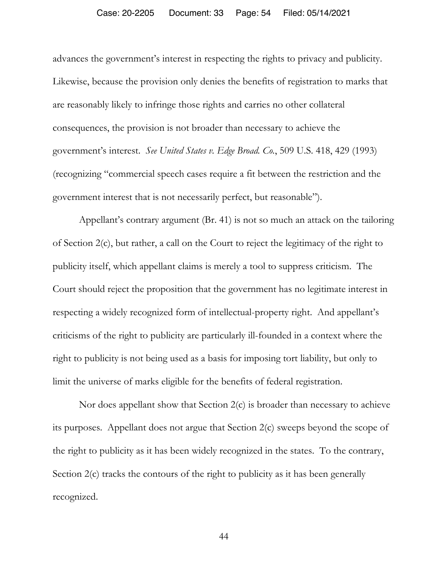#### Case: 20-2205 Document: 33 Page: 54 Filed: 05/14/2021

advances the government's interest in respecting the rights to privacy and publicity. Likewise, because the provision only denies the benefits of registration to marks that are reasonably likely to infringe those rights and carries no other collateral consequences, the provision is not broader than necessary to achieve the government's interest. *See United States v. Edge Broad. Co.*, 509 U.S. 418, 429 (1993) (recognizing "commercial speech cases require a fit between the restriction and the government interest that is not necessarily perfect, but reasonable").

Appellant's contrary argument (Br. 41) is not so much an attack on the tailoring of Section 2(c), but rather, a call on the Court to reject the legitimacy of the right to publicity itself, which appellant claims is merely a tool to suppress criticism. The Court should reject the proposition that the government has no legitimate interest in respecting a widely recognized form of intellectual-property right. And appellant's criticisms of the right to publicity are particularly ill-founded in a context where the right to publicity is not being used as a basis for imposing tort liability, but only to limit the universe of marks eligible for the benefits of federal registration.

Nor does appellant show that Section 2(c) is broader than necessary to achieve its purposes. Appellant does not argue that Section 2(c) sweeps beyond the scope of the right to publicity as it has been widely recognized in the states. To the contrary, Section 2(c) tracks the contours of the right to publicity as it has been generally recognized.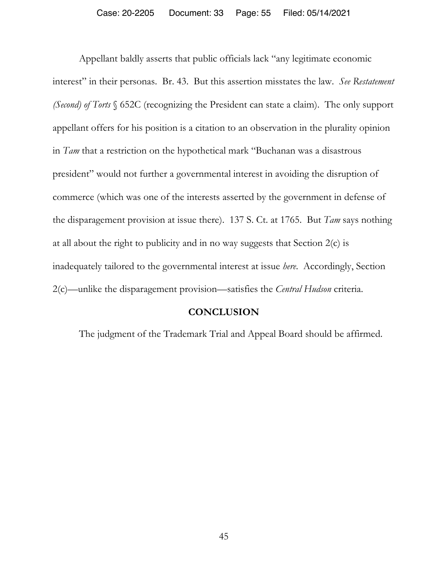Appellant baldly asserts that public officials lack "any legitimate economic interest" in their personas. Br. 43. But this assertion misstates the law. *See Restatement (Second) of Torts* § 652C (recognizing the President can state a claim). The only support appellant offers for his position is a citation to an observation in the plurality opinion in *Tam* that a restriction on the hypothetical mark "Buchanan was a disastrous president" would not further a governmental interest in avoiding the disruption of commerce (which was one of the interests asserted by the government in defense of the disparagement provision at issue there). 137 S. Ct. at 1765. But *Tam* says nothing at all about the right to publicity and in no way suggests that Section 2(c) is inadequately tailored to the governmental interest at issue *here*. Accordingly, Section 2(c)—unlike the disparagement provision—satisfies the *Central Hudson* criteria.

### **CONCLUSION**

The judgment of the Trademark Trial and Appeal Board should be affirmed.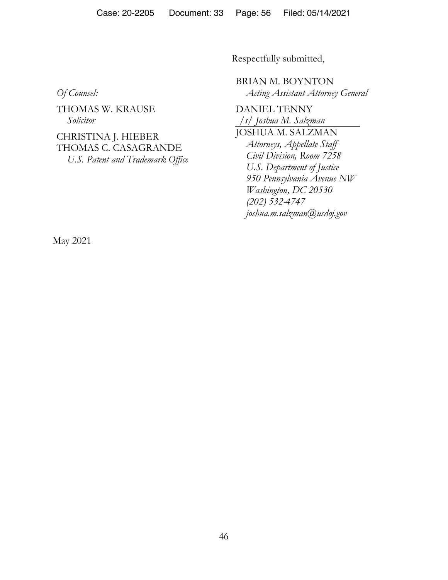Case: 20-2205 Document: 33 Page: 56 Filed: 05/14/2021

Respectfully submitted,

*Of Counsel:* 

THOMAS W. KRAUSE *Solicitor* 

CHRISTINA J. HIEBER THOMAS C. CASAGRANDE *U.S. Patent and Trademark Office*  BRIAN M. BOYNTON *Acting Assistant Attorney General* 

DANIEL TENNY */s/ Joshua M. Salzman*  JOSHUA M. SALZMAN *Attorneys, Appellate Staff Civil Division, Room 7258 U.S. Department of Justice 950 Pennsylvania Avenue NW Washington, DC 20530 (202) 532-4747 joshua.m.salzman@usdoj.gov* 

May 2021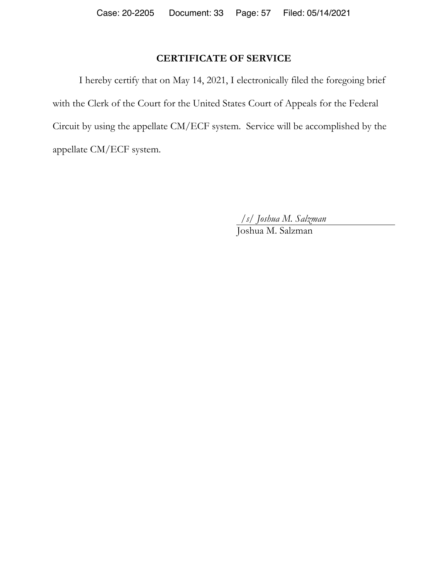# **CERTIFICATE OF SERVICE**

I hereby certify that on May 14, 2021, I electronically filed the foregoing brief with the Clerk of the Court for the United States Court of Appeals for the Federal Circuit by using the appellate CM/ECF system. Service will be accomplished by the appellate CM/ECF system.

*/s/ Joshua M. Salzman* 

Joshua M. Salzman